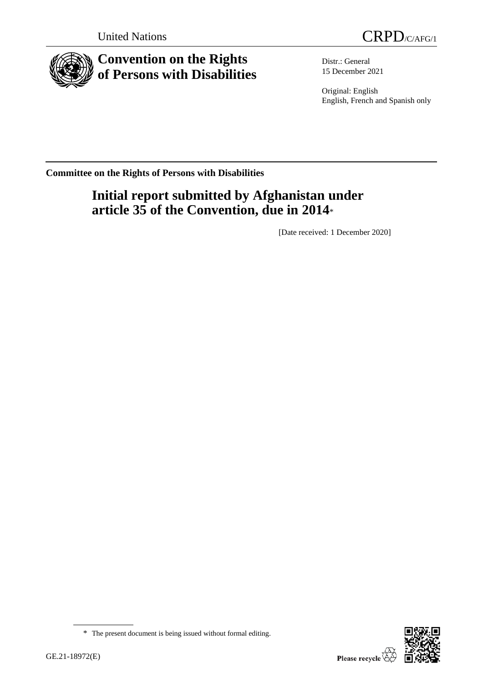

# **Convention on the Rights of Persons with Disabilities**

Distr.: General 15 December 2021

Original: English English, French and Spanish only

**Committee on the Rights of Persons with Disabilities**

# **Initial report submitted by Afghanistan under article 35 of the Convention, due in 2014**\*

[Date received: 1 December 2020]

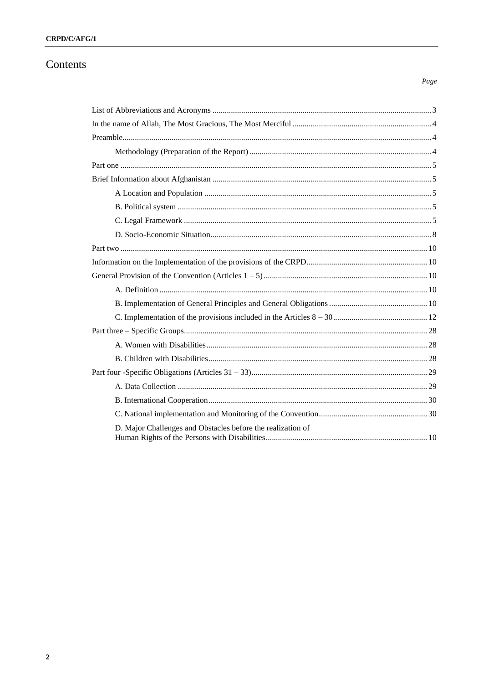## CRPD/C/AFG/1

## Contents

### $Page$

| D. Major Challenges and Obstacles before the realization of |  |
|-------------------------------------------------------------|--|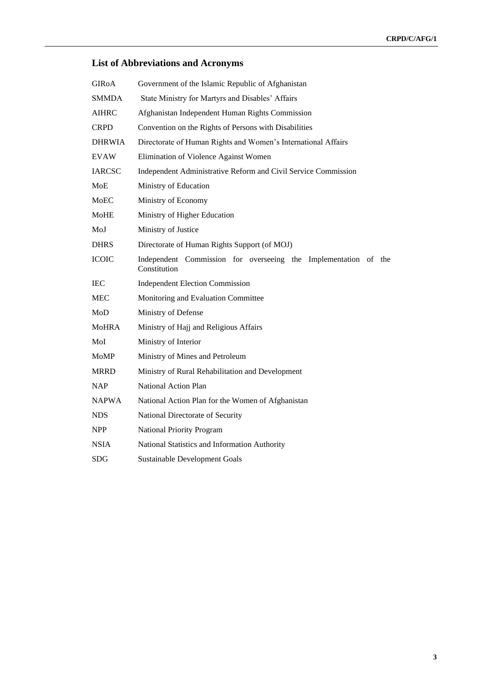## <span id="page-2-0"></span>**List of Abbreviations and Acronyms**

| <b>GIROA</b>  | Government of the Islamic Republic of Afghanistan                               |  |  |  |  |
|---------------|---------------------------------------------------------------------------------|--|--|--|--|
| <b>SMMDA</b>  | State Ministry for Martyrs and Disables' Affairs                                |  |  |  |  |
| <b>AIHRC</b>  | Afghanistan Independent Human Rights Commission                                 |  |  |  |  |
| <b>CRPD</b>   | Convention on the Rights of Persons with Disabilities                           |  |  |  |  |
| <b>DHRWIA</b> | Directorate of Human Rights and Women's International Affairs                   |  |  |  |  |
| <b>EVAW</b>   | Elimination of Violence Against Women                                           |  |  |  |  |
| <b>IARCSC</b> | Independent Administrative Reform and Civil Service Commission                  |  |  |  |  |
| MoE           | Ministry of Education                                                           |  |  |  |  |
| MoEC          | Ministry of Economy                                                             |  |  |  |  |
| MoHE          | Ministry of Higher Education                                                    |  |  |  |  |
| MoJ           | Ministry of Justice                                                             |  |  |  |  |
| <b>DHRS</b>   | Directorate of Human Rights Support (of MOJ)                                    |  |  |  |  |
| <b>ICOIC</b>  | Independent Commission for overseeing the Implementation of the<br>Constitution |  |  |  |  |
| <b>IEC</b>    | <b>Independent Election Commission</b>                                          |  |  |  |  |
| MEC           | Monitoring and Evaluation Committee                                             |  |  |  |  |
| MoD           | Ministry of Defense                                                             |  |  |  |  |
| <b>MoHRA</b>  | Ministry of Hajj and Religious Affairs                                          |  |  |  |  |
| MoI           | Ministry of Interior                                                            |  |  |  |  |
| <b>MoMP</b>   | Ministry of Mines and Petroleum                                                 |  |  |  |  |
| <b>MRRD</b>   | Ministry of Rural Rehabilitation and Development                                |  |  |  |  |
| <b>NAP</b>    | National Action Plan                                                            |  |  |  |  |
| <b>NAPWA</b>  | National Action Plan for the Women of Afghanistan                               |  |  |  |  |
| <b>NDS</b>    | National Directorate of Security                                                |  |  |  |  |
| NPP           | National Priority Program                                                       |  |  |  |  |
| <b>NSIA</b>   | National Statistics and Information Authority                                   |  |  |  |  |
| <b>SDG</b>    | <b>Sustainable Development Goals</b>                                            |  |  |  |  |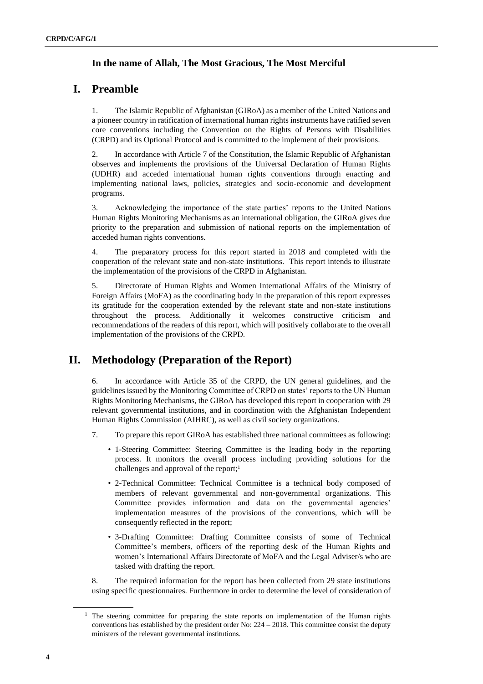## <span id="page-3-0"></span>**In the name of Allah, The Most Gracious, The Most Merciful**

## <span id="page-3-1"></span>**I. Preamble**

1. The Islamic Republic of Afghanistan (GIRoA) as a member of the United Nations and a pioneer country in ratification of international human rights instruments have ratified seven core conventions including the Convention on the Rights of Persons with Disabilities (CRPD) and its Optional Protocol and is committed to the implement of their provisions.

2. In accordance with Article 7 of the Constitution, the Islamic Republic of Afghanistan observes and implements the provisions of the Universal Declaration of Human Rights (UDHR) and acceded international human rights conventions through enacting and implementing national laws, policies, strategies and socio-economic and development programs.

3. Acknowledging the importance of the state parties' reports to the United Nations Human Rights Monitoring Mechanisms as an international obligation, the GIRoA gives due priority to the preparation and submission of national reports on the implementation of acceded human rights conventions.

4. The preparatory process for this report started in 2018 and completed with the cooperation of the relevant state and non-state institutions. This report intends to illustrate the implementation of the provisions of the CRPD in Afghanistan.

5. Directorate of Human Rights and Women International Affairs of the Ministry of Foreign Affairs (MoFA) as the coordinating body in the preparation of this report expresses its gratitude for the cooperation extended by the relevant state and non-state institutions throughout the process. Additionally it welcomes constructive criticism and recommendations of the readers of this report, which will positively collaborate to the overall implementation of the provisions of the CRPD.

## <span id="page-3-2"></span>**II. Methodology (Preparation of the Report)**

6. In accordance with Article 35 of the CRPD, the UN general guidelines, and the guidelines issued by the Monitoring Committee of CRPD on states' reports to the UN Human Rights Monitoring Mechanisms, the GIRoA has developed this report in cooperation with 29 relevant governmental institutions, and in coordination with the Afghanistan Independent Human Rights Commission (AIHRC), as well as civil society organizations.

- 7. To prepare this report GIRoA has established three national committees as following:
	- 1-Steering Committee: Steering Committee is the leading body in the reporting process. It monitors the overall process including providing solutions for the challenges and approval of the report;<sup>1</sup>
	- 2-Technical Committee: Technical Committee is a technical body composed of members of relevant governmental and non-governmental organizations. This Committee provides information and data on the governmental agencies' implementation measures of the provisions of the conventions, which will be consequently reflected in the report;
	- 3-Drafting Committee: Drafting Committee consists of some of Technical Committee's members, officers of the reporting desk of the Human Rights and women's International Affairs Directorate of MoFA and the Legal Adviser/s who are tasked with drafting the report.

8. The required information for the report has been collected from 29 state institutions using specific questionnaires. Furthermore in order to determine the level of consideration of

 $<sup>1</sup>$  The steering committee for preparing the state reports on implementation of the Human rights</sup> conventions has established by the president order No: 224 – 2018. This committee consist the deputy ministers of the relevant governmental institutions.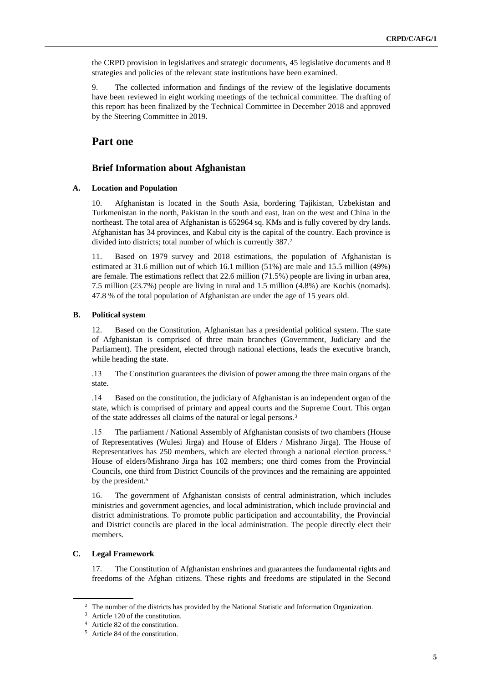the CRPD provision in legislatives and strategic documents, 45 legislative documents and 8 strategies and policies of the relevant state institutions have been examined.

9. The collected information and findings of the review of the legislative documents have been reviewed in eight working meetings of the technical committee. The drafting of this report has been finalized by the Technical Committee in December 2018 and approved by the Steering Committee in 2019.

## <span id="page-4-0"></span>**Part one**

#### <span id="page-4-1"></span>**Brief Information about Afghanistan**

#### **A. Location and Population**

10. Afghanistan is located in the South Asia, bordering Tajikistan, Uzbekistan and Turkmenistan in the north, Pakistan in the south and east, Iran on the west and China in the northeast. The total area of Afghanistan is 652964 sq. KMs and is fully covered by dry lands. Afghanistan has 34 provinces, and Kabul city is the capital of the country. Each province is divided into districts; total number of which is currently 387.<sup>2</sup>

11. Based on 1979 survey and 2018 estimations, the population of Afghanistan is estimated at 31.6 million out of which 16.1 million (51%) are male and 15.5 million (49%) are female. The estimations reflect that 22.6 million (71.5%) people are living in urban area, 7.5 million (23.7%) people are living in rural and 1.5 million (4.8%) are Kochis (nomads). 47.8 % of the total population of Afghanistan are under the age of 15 years old.

#### **B. Political system**

12. Based on the Constitution, Afghanistan has a presidential political system. The state of Afghanistan is comprised of three main branches (Government, Judiciary and the Parliament). The president, elected through national elections, leads the executive branch, while heading the state.

 .13 The Constitution guarantees the division of power among the three main organs of the state.

 .14 Based on the constitution, the judiciary of Afghanistan is an independent organ of the state, which is comprised of primary and appeal courts and the Supreme Court. This organ of the state addresses all claims of the natural or legal persons.<sup>3</sup>

 .15 The parliament / National Assembly of Afghanistan consists of two chambers (House of Representatives (Wulesi Jirga) and House of Elders / Mishrano Jirga). The House of Representatives has 250 members, which are elected through a national election process.<sup>4</sup> House of elders/Mishrano Jirga has 102 members; one third comes from the Provincial Councils, one third from District Councils of the provinces and the remaining are appointed by the president.<sup>5</sup>

16. The government of Afghanistan consists of central administration, which includes ministries and government agencies, and local administration, which include provincial and district administrations. To promote public participation and accountability, the Provincial and District councils are placed in the local administration. The people directly elect their members.

#### **C. Legal Framework**

17. The Constitution of Afghanistan enshrines and guarantees the fundamental rights and freedoms of the Afghan citizens. These rights and freedoms are stipulated in the Second

<sup>&</sup>lt;sup>2</sup> The number of the districts has provided by the National Statistic and Information Organization.

<sup>&</sup>lt;sup>3</sup> Article 120 of the constitution.

<sup>4</sup> Article 82 of the constitution.

<sup>5</sup> Article 84 of the constitution.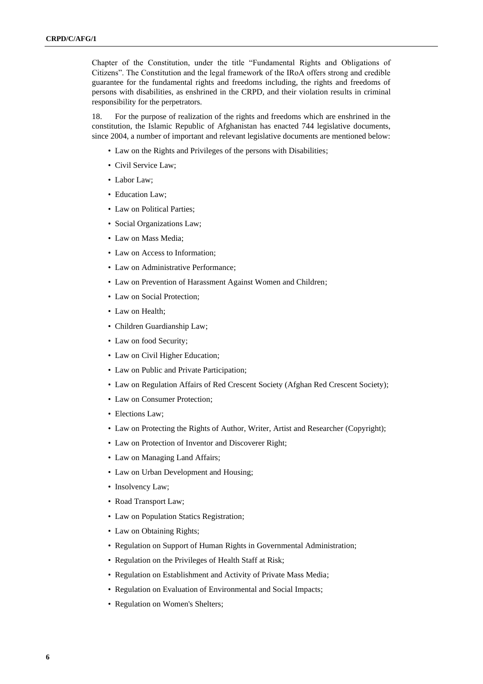Chapter of the Constitution, under the title "Fundamental Rights and Obligations of Citizens". The Constitution and the legal framework of the IRoA offers strong and credible guarantee for the fundamental rights and freedoms including, the rights and freedoms of persons with disabilities, as enshrined in the CRPD, and their violation results in criminal responsibility for the perpetrators.

18. For the purpose of realization of the rights and freedoms which are enshrined in the constitution, the Islamic Republic of Afghanistan has enacted 744 legislative documents, since 2004, a number of important and relevant legislative documents are mentioned below:

- Law on the Rights and Privileges of the persons with Disabilities;
- Civil Service Law;
- Labor Law;
- Education Law:
- Law on Political Parties;
- Social Organizations Law;
- Law on Mass Media;
- Law on Access to Information;
- Law on Administrative Performance;
- Law on Prevention of Harassment Against Women and Children;
- Law on Social Protection;
- Law on Health;
- Children Guardianship Law;
- Law on food Security;
- Law on Civil Higher Education;
- Law on Public and Private Participation;
- Law on Regulation Affairs of Red Crescent Society (Afghan Red Crescent Society);
- Law on Consumer Protection:
- Elections Law;
- Law on Protecting the Rights of Author, Writer, Artist and Researcher (Copyright);
- Law on Protection of Inventor and Discoverer Right;
- Law on Managing Land Affairs;
- Law on Urban Development and Housing;
- Insolvency Law;
- Road Transport Law;
- Law on Population Statics Registration;
- Law on Obtaining Rights;
- Regulation on Support of Human Rights in Governmental Administration;
- Regulation on the Privileges of Health Staff at Risk;
- Regulation on Establishment and Activity of Private Mass Media;
- Regulation on Evaluation of Environmental and Social Impacts;
- Regulation on Women's Shelters;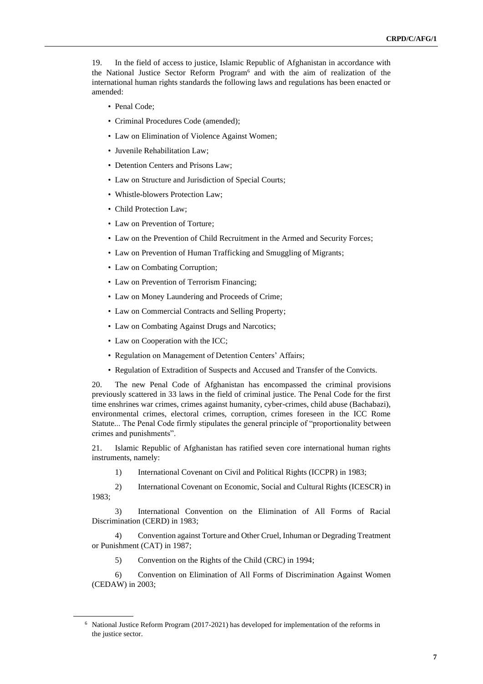19. In the field of access to justice, Islamic Republic of Afghanistan in accordance with the National Justice Sector Reform Program<sup>6</sup> and with the aim of realization of the international human rights standards the following laws and regulations has been enacted or amended:

- Penal Code;
- Criminal Procedures Code (amended);
- Law on Elimination of Violence Against Women;
- Juvenile Rehabilitation Law;
- Detention Centers and Prisons Law;
- Law on Structure and Jurisdiction of Special Courts;
- Whistle-blowers Protection Law;
- Child Protection Law;
- Law on Prevention of Torture:
- Law on the Prevention of Child Recruitment in the Armed and Security Forces;
- Law on Prevention of Human Trafficking and Smuggling of Migrants;
- Law on Combating Corruption;
- Law on Prevention of Terrorism Financing;
- Law on Money Laundering and Proceeds of Crime;
- Law on Commercial Contracts and Selling Property;
- Law on Combating Against Drugs and Narcotics;
- Law on Cooperation with the ICC;
- Regulation on Management of Detention Centers' Affairs;
- Regulation of Extradition of Suspects and Accused and Transfer of the Convicts.

20. The new Penal Code of Afghanistan has encompassed the criminal provisions previously scattered in 33 laws in the field of criminal justice. The Penal Code for the first time enshrines war crimes, crimes against humanity, cyber-crimes, child abuse (Bachabazi), environmental crimes, electoral crimes, corruption, crimes foreseen in the ICC Rome Statute... The Penal Code firmly stipulates the general principle of "proportionality between crimes and punishments".

21. Islamic Republic of Afghanistan has ratified seven core international human rights instruments, namely:

1) International Covenant on Civil and Political Rights (ICCPR) in 1983;

2) International Covenant on Economic, Social and Cultural Rights (ICESCR) in 1983;

3) International Convention on the Elimination of All Forms of Racial Discrimination (CERD) in 1983;

4) Convention against Torture and Other Cruel, Inhuman or Degrading Treatment or Punishment (CAT) in 1987;

5) Convention on the Rights of the Child (CRC) in 1994;

6) Convention on Elimination of All Forms of Discrimination Against Women (CEDAW) in 2003;

<sup>6</sup> National Justice Reform Program (2017-2021) has developed for implementation of the reforms in the justice sector.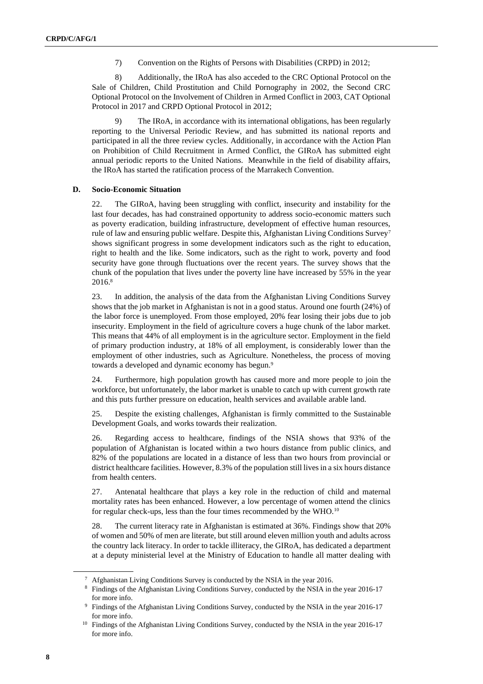7) Convention on the Rights of Persons with Disabilities (CRPD) in 2012;

8) Additionally, the IRoA has also acceded to the CRC Optional Protocol on the Sale of Children, Child Prostitution and Child Pornography in 2002, the Second CRC Optional Protocol on the Involvement of Children in Armed Conflict in 2003, CAT Optional Protocol in 2017 and CRPD Optional Protocol in 2012;

The IRoA, in accordance with its international obligations, has been regularly reporting to the Universal Periodic Review, and has submitted its national reports and participated in all the three review cycles. Additionally, in accordance with the Action Plan on Prohibition of Child Recruitment in Armed Conflict, the GIRoA has submitted eight annual periodic reports to the United Nations. Meanwhile in the field of disability affairs, the IRoA has started the ratification process of the Marrakech Convention.

#### **D. Socio-Economic Situation**

22. The GIRoA, having been struggling with conflict, insecurity and instability for the last four decades, has had constrained opportunity to address socio-economic matters such as poverty eradication, building infrastructure, development of effective human resources, rule of law and ensuring public welfare. Despite this, Afghanistan Living Conditions Survey<sup>7</sup> shows significant progress in some development indicators such as the right to education, right to health and the like. Some indicators, such as the right to work, poverty and food security have gone through fluctuations over the recent years. The survey shows that the chunk of the population that lives under the poverty line have increased by 55% in the year 2016.<sup>8</sup>

23. In addition, the analysis of the data from the Afghanistan Living Conditions Survey shows that the job market in Afghanistan is not in a good status. Around one fourth (24%) of the labor force is unemployed. From those employed, 20% fear losing their jobs due to job insecurity. Employment in the field of agriculture covers a huge chunk of the labor market. This means that 44% of all employment is in the agriculture sector. Employment in the field of primary production industry, at 18% of all employment, is considerably lower than the employment of other industries, such as Agriculture. Nonetheless, the process of moving towards a developed and dynamic economy has begun.<sup>9</sup>

24. Furthermore, high population growth has caused more and more people to join the workforce, but unfortunately, the labor market is unable to catch up with current growth rate and this puts further pressure on education, health services and available arable land.

25. Despite the existing challenges, Afghanistan is firmly committed to the Sustainable Development Goals, and works towards their realization.

26. Regarding access to healthcare, findings of the NSIA shows that 93% of the population of Afghanistan is located within a two hours distance from public clinics, and 82% of the populations are located in a distance of less than two hours from provincial or district healthcare facilities. However, 8.3% of the population still lives in a six hours distance from health centers.

27. Antenatal healthcare that plays a key role in the reduction of child and maternal mortality rates has been enhanced. However, a low percentage of women attend the clinics for regular check-ups, less than the four times recommended by the WHO.<sup>10</sup>

28. The current literacy rate in Afghanistan is estimated at 36%. Findings show that 20% of women and 50% of men are literate, but still around eleven million youth and adults across the country lack literacy. In order to tackle illiteracy, the GIRoA, has dedicated a department at a deputy ministerial level at the Ministry of Education to handle all matter dealing with

<sup>7</sup> Afghanistan Living Conditions Survey is conducted by the NSIA in the year 2016.

<sup>&</sup>lt;sup>8</sup> Findings of the Afghanistan Living Conditions Survey, conducted by the NSIA in the year 2016-17 for more info.

<sup>&</sup>lt;sup>9</sup> Findings of the Afghanistan Living Conditions Survey, conducted by the NSIA in the year 2016-17 for more info.

<sup>&</sup>lt;sup>10</sup> Findings of the Afghanistan Living Conditions Survey, conducted by the NSIA in the year 2016-17 for more info.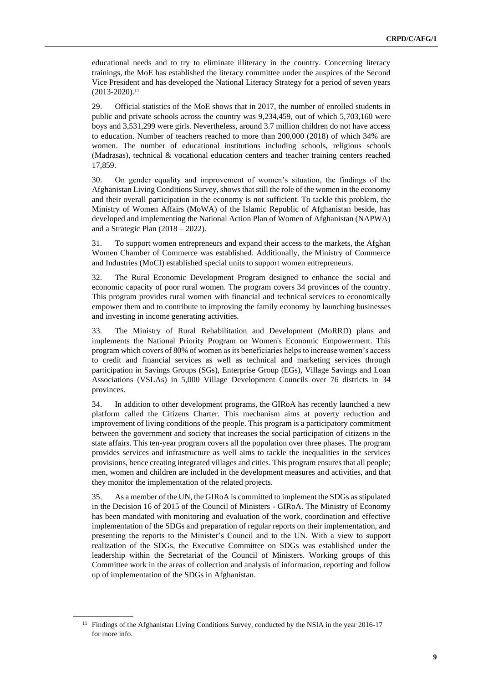educational needs and to try to eliminate illiteracy in the country. Concerning literacy trainings, the MoE has established the literacy committee under the auspices of the Second Vice President and has developed the National Literacy Strategy for a period of seven years  $(2013 - 2020).$ <sup>11</sup>

29. Official statistics of the MoE shows that in 2017, the number of enrolled students in public and private schools across the country was 9,234,459, out of which 5,703,160 were boys and 3,531,299 were girls. Nevertheless, around 3.7 million children do not have access to education. Number of teachers reached to more than 200,000 (2018) of which 34% are women. The number of educational institutions including schools, religious schools (Madrasas), technical & vocational education centers and teacher training centers reached 17,859.

30. On gender equality and improvement of women's situation, the findings of the Afghanistan Living Conditions Survey, shows that still the role of the women in the economy and their overall participation in the economy is not sufficient. To tackle this problem, the Ministry of Women Affairs (MoWA) of the Islamic Republic of Afghanistan beside, has developed and implementing the National Action Plan of Women of Afghanistan (NAPWA) and a Strategic Plan  $(2018 - 2022)$ .

31. To support women entrepreneurs and expand their access to the markets, the Afghan Women Chamber of Commerce was established. Additionally, the Ministry of Commerce and Industries (MoCI) established special units to support women entrepreneurs.

32. The Rural Economic Development Program designed to enhance the social and economic capacity of poor rural women. The program covers 34 provinces of the country. This program provides rural women with financial and technical services to economically empower them and to contribute to improving the family economy by launching businesses and investing in income generating activities.

33. The Ministry of Rural Rehabilitation and Development (MoRRD) plans and implements the National Priority Program on Women's Economic Empowerment. This program which covers of 80% of women as its beneficiaries helps to increase women's access to credit and financial services as well as technical and marketing services through participation in Savings Groups (SGs), Enterprise Group (EGs), Village Savings and Loan Associations (VSLAs) in 5,000 Village Development Councils over 76 districts in 34 provinces.

34. In addition to other development programs, the GIRoA has recently launched a new platform called the Citizens Charter. This mechanism aims at poverty reduction and improvement of living conditions of the people. This program is a participatory commitment between the government and society that increases the social participation of citizens in the state affairs. This ten-year program covers all the population over three phases. The program provides services and infrastructure as well aims to tackle the inequalities in the services provisions, hence creating integrated villages and cities. This program ensures that all people; men, women and children are included in the development measures and activities, and that they monitor the implementation of the related projects.

35. As a member of the UN, the GIRoA is committed to implement the SDGs as stipulated in the Decision 16 of 2015 of the Council of Ministers - GIRoA. The Ministry of Economy has been mandated with monitoring and evaluation of the work, coordination and effective implementation of the SDGs and preparation of regular reports on their implementation, and presenting the reports to the Minister's Council and to the UN. With a view to support realization of the SDGs, the Executive Committee on SDGs was established under the leadership within the Secretariat of the Council of Ministers. Working groups of this Committee work in the areas of collection and analysis of information, reporting and follow up of implementation of the SDGs in Afghanistan.

<sup>&</sup>lt;sup>11</sup> Findings of the Afghanistan Living Conditions Survey, conducted by the NSIA in the year 2016-17 for more info.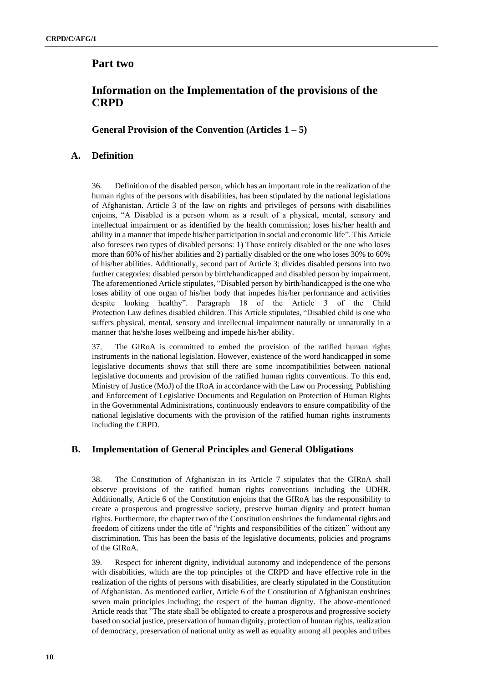## <span id="page-9-2"></span>**Part two**

## <span id="page-9-3"></span>**Information on the Implementation of the provisions of the CRPD**

## <span id="page-9-4"></span>**General Provision of the Convention (Articles 1 – 5)**

## <span id="page-9-0"></span>**A. Definition**

36. Definition of the disabled person, which has an important role in the realization of the human rights of the persons with disabilities, has been stipulated by the national legislations of Afghanistan. Article 3 of the law on rights and privileges of persons with disabilities enjoins, "A Disabled is a person whom as a result of a physical, mental, sensory and intellectual impairment or as identified by the health commission; loses his/her health and ability in a manner that impede his/her participation in social and economic life". This Article also foresees two types of disabled persons: 1) Those entirely disabled or the one who loses more than 60% of his/her abilities and 2) partially disabled or the one who loses 30% to 60% of his/her abilities. Additionally, second part of Article 3; divides disabled persons into two further categories: disabled person by birth/handicapped and disabled person by impairment. The aforementioned Article stipulates, "Disabled person by birth/handicapped is the one who loses ability of one organ of his/her body that impedes his/her performance and activities despite looking healthy". Paragraph 18 of the Article 3 of the Child Protection Law defines disabled children. This Article stipulates, "Disabled child is one who suffers physical, mental, sensory and intellectual impairment naturally or unnaturally in a manner that he/she loses wellbeing and impede his/her ability.

37. The GIRoA is committed to embed the provision of the ratified human rights instruments in the national legislation. However, existence of the word handicapped in some legislative documents shows that still there are some incompatibilities between national legislative documents and provision of the ratified human rights conventions. To this end, Ministry of Justice (MoJ) of the IRoA in accordance with the Law on Processing, Publishing and Enforcement of Legislative Documents and Regulation on Protection of Human Rights in the Governmental Administrations, continuously endeavors to ensure compatibility of the national legislative documents with the provision of the ratified human rights instruments including the CRPD.

### <span id="page-9-1"></span>**B. Implementation of General Principles and General Obligations**

38. The Constitution of Afghanistan in its Article 7 stipulates that the GIRoA shall observe provisions of the ratified human rights conventions including the UDHR. Additionally, Article 6 of the Constitution enjoins that the GIRoA has the responsibility to create a prosperous and progressive society, preserve human dignity and protect human rights. Furthermore, the chapter two of the Constitution enshrines the fundamental rights and freedom of citizens under the title of "rights and responsibilities of the citizen" without any discrimination. This has been the basis of the legislative documents, policies and programs of the GIRoA.

39. Respect for inherent dignity, individual autonomy and independence of the persons with disabilities, which are the top principles of the CRPD and have effective role in the realization of the rights of persons with disabilities, are clearly stipulated in the Constitution of Afghanistan. As mentioned earlier, Article 6 of the Constitution of Afghanistan enshrines seven main principles including; the respect of the human dignity. The above-mentioned Article reads that "The state shall be obligated to create a prosperous and progressive society based on social justice, preservation of human dignity, protection of human rights, realization of democracy, preservation of national unity as well as equality among all peoples and tribes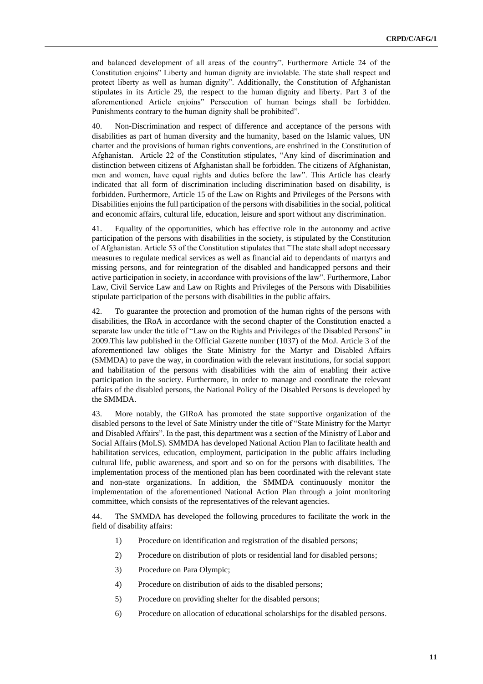and balanced development of all areas of the country". Furthermore Article 24 of the Constitution enjoins" Liberty and human dignity are inviolable. The state shall respect and protect liberty as well as human dignity". Additionally, the Constitution of Afghanistan stipulates in its Article 29, the respect to the human dignity and liberty. Part 3 of the aforementioned Article enjoins" Persecution of human beings shall be forbidden. Punishments contrary to the human dignity shall be prohibited".

40. Non-Discrimination and respect of difference and acceptance of the persons with disabilities as part of human diversity and the humanity, based on the Islamic values, UN charter and the provisions of human rights conventions, are enshrined in the Constitution of Afghanistan. Article 22 of the Constitution stipulates, "Any kind of discrimination and distinction between citizens of Afghanistan shall be forbidden. The citizens of Afghanistan, men and women, have equal rights and duties before the law". This Article has clearly indicated that all form of discrimination including discrimination based on disability, is forbidden. Furthermore, Article 15 of the Law on Rights and Privileges of the Persons with Disabilities enjoins the full participation of the persons with disabilities in the social, political and economic affairs, cultural life, education, leisure and sport without any discrimination.

41. Equality of the opportunities, which has effective role in the autonomy and active participation of the persons with disabilities in the society, is stipulated by the Constitution of Afghanistan. Article 53 of the Constitution stipulates that "The state shall adopt necessary measures to regulate medical services as well as financial aid to dependants of martyrs and missing persons, and for reintegration of the disabled and handicapped persons and their active participation in society, in accordance with provisions of the law". Furthermore, Labor Law, Civil Service Law and Law on Rights and Privileges of the Persons with Disabilities stipulate participation of the persons with disabilities in the public affairs.

42. To guarantee the protection and promotion of the human rights of the persons with disabilities, the IRoA in accordance with the second chapter of the Constitution enacted a separate law under the title of "Law on the Rights and Privileges of the Disabled Persons" in 2009.This law published in the Official Gazette number (1037) of the MoJ. Article 3 of the aforementioned law obliges the State Ministry for the Martyr and Disabled Affairs (SMMDA) to pave the way, in coordination with the relevant institutions, for social support and habilitation of the persons with disabilities with the aim of enabling their active participation in the society. Furthermore, in order to manage and coordinate the relevant affairs of the disabled persons, the National Policy of the Disabled Persons is developed by the SMMDA.

43. More notably, the GIRoA has promoted the state supportive organization of the disabled persons to the level of Sate Ministry under the title of "State Ministry for the Martyr and Disabled Affairs". In the past, this department was a section of the Ministry of Labor and Social Affairs (MoLS). SMMDA has developed National Action Plan to facilitate health and habilitation services, education, employment, participation in the public affairs including cultural life, public awareness, and sport and so on for the persons with disabilities. The implementation process of the mentioned plan has been coordinated with the relevant state and non-state organizations. In addition, the SMMDA continuously monitor the implementation of the aforementioned National Action Plan through a joint monitoring committee, which consists of the representatives of the relevant agencies.

44. The SMMDA has developed the following procedures to facilitate the work in the field of disability affairs:

- 1) Procedure on identification and registration of the disabled persons;
- 2) Procedure on distribution of plots or residential land for disabled persons;
- 3) Procedure on Para Olympic;
- 4) Procedure on distribution of aids to the disabled persons;
- 5) Procedure on providing shelter for the disabled persons;
- 6) Procedure on allocation of educational scholarships for the disabled persons.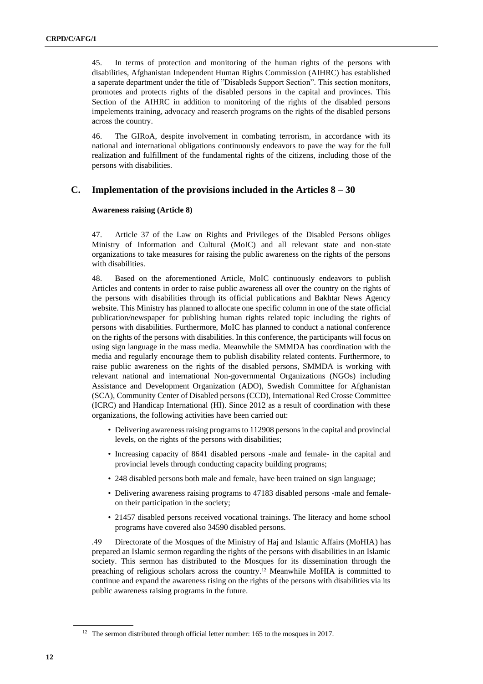45. In terms of protection and monitoring of the human rights of the persons with disabilities, Afghanistan Independent Human Rights Commission (AIHRC) has established a saperate department under the title of "Disableds Support Section". This section monitors, promotes and protects rights of the disabled persons in the capital and provinces. This Section of the AIHRC in addition to monitoring of the rights of the disabled persons impelements training, advocacy and reaserch programs on the rights of the disabled persons across the country.

46. The GIRoA, despite involvement in combating terrorism, in accordance with its national and international obligations continuously endeavors to pave the way for the full realization and fulfillment of the fundamental rights of the citizens, including those of the persons with disabilities.

### <span id="page-11-0"></span>**C. Implementation of the provisions included in the Articles 8 – 30**

#### **Awareness raising (Article 8)**

47. Article 37 of the Law on Rights and Privileges of the Disabled Persons obliges Ministry of Information and Cultural (MoIC) and all relevant state and non-state organizations to take measures for raising the public awareness on the rights of the persons with disabilities.

48. Based on the aforementioned Article, MoIC continuously endeavors to publish Articles and contents in order to raise public awareness all over the country on the rights of the persons with disabilities through its official publications and Bakhtar News Agency website. This Ministry has planned to allocate one specific column in one of the state official publication/newspaper for publishing human rights related topic including the rights of persons with disabilities. Furthermore, MoIC has planned to conduct a national conference on the rights of the persons with disabilities. In this conference, the participants will focus on using sign language in the mass media. Meanwhile the SMMDA has coordination with the media and regularly encourage them to publish disability related contents. Furthermore, to raise public awareness on the rights of the disabled persons, SMMDA is working with relevant national and international Non-governmental Organizations (NGOs) including Assistance and Development Organization (ADO), Swedish Committee for Afghanistan (SCA), Community Center of Disabled persons (CCD), International Red Crosse Committee (ICRC) and Handicap International (HI). Since 2012 as a result of coordination with these organizations, the following activities have been carried out:

- Delivering awareness raising programs to 112908 persons in the capital and provincial levels, on the rights of the persons with disabilities;
- Increasing capacity of 8641 disabled persons -male and female- in the capital and provincial levels through conducting capacity building programs;
- 248 disabled persons both male and female, have been trained on sign language;
- Delivering awareness raising programs to 47183 disabled persons -male and femaleon their participation in the society;
- 21457 disabled persons received vocational trainings. The literacy and home school programs have covered also 34590 disabled persons.

 .49 Directorate of the Mosques of the Ministry of Haj and Islamic Affairs (MoHIA) has prepared an Islamic sermon regarding the rights of the persons with disabilities in an Islamic society. This sermon has distributed to the Mosques for its dissemination through the preaching of religious scholars across the country.<sup>12</sup> Meanwhile MoHIA is committed to continue and expand the awareness rising on the rights of the persons with disabilities via its public awareness raising programs in the future.

<sup>&</sup>lt;sup>12</sup> The sermon distributed through official letter number: 165 to the mosques in 2017.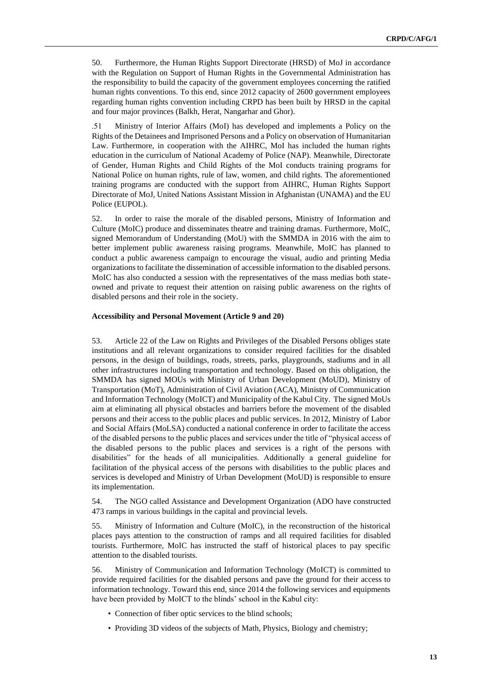50. Furthermore, the Human Rights Support Directorate (HRSD) of MoJ in accordance with the Regulation on Support of Human Rights in the Governmental Administration has the responsibility to build the capacity of the government employees concerning the ratified human rights conventions. To this end, since 2012 capacity of 2600 government employees regarding human rights convention including CRPD has been built by HRSD in the capital and four major provinces (Balkh, Herat, Nangarhar and Ghor).

 .51 Ministry of Interior Affairs (MoI) has developed and implements a Policy on the Rights of the Detainees and Imprisoned Persons and a Policy on observation of Humanitarian Law. Furthermore, in cooperation with the AIHRC, MoI has included the human rights education in the curriculum of National Academy of Police (NAP). Meanwhile, Directorate of Gender, Human Rights and Child Rights of the MoI conducts training programs for National Police on human rights, rule of law, women, and child rights. The aforementioned training programs are conducted with the support from AIHRC, Human Rights Support Directorate of MoJ, United Nations Assistant Mission in Afghanistan (UNAMA) and the EU Police (EUPOL).

52. In order to raise the morale of the disabled persons, Ministry of Information and Culture (MoIC) produce and disseminates theatre and training dramas. Furthermore, MoIC, signed Memorandum of Understanding (MoU) with the SMMDA in 2016 with the aim to better implement public awareness raising programs. Meanwhile, MoIC has planned to conduct a public awareness campaign to encourage the visual, audio and printing Media organizations to facilitate the dissemination of accessible information to the disabled persons. MoIC has also conducted a session with the representatives of the mass medias both stateowned and private to request their attention on raising public awareness on the rights of disabled persons and their role in the society.

#### **Accessibility and Personal Movement (Article 9 and 20)**

53. Article 22 of the Law on Rights and Privileges of the Disabled Persons obliges state institutions and all relevant organizations to consider required facilities for the disabled persons, in the design of buildings, roads, streets, parks, playgrounds, stadiums and in all other infrastructures including transportation and technology. Based on this obligation, the SMMDA has signed MOUs with Ministry of Urban Development (MoUD), Ministry of Transportation (MoT), Administration of Civil Aviation (ACA), Ministry of Communication and Information Technology (MoICT) and Municipality of the Kabul City. The signed MoUs aim at eliminating all physical obstacles and barriers before the movement of the disabled persons and their access to the public places and public services. In 2012, Ministry of Labor and Social Affairs (MoLSA) conducted a national conference in order to facilitate the access of the disabled persons to the public places and services under the title of "physical access of the disabled persons to the public places and services is a right of the persons with disabilities" for the heads of all municipalities. Additionally a general guideline for facilitation of the physical access of the persons with disabilities to the public places and services is developed and Ministry of Urban Development (MoUD) is responsible to ensure its implementation.

54. The NGO called Assistance and Development Organization (ADO have constructed 473 ramps in various buildings in the capital and provincial levels.

55. Ministry of Information and Culture (MoIC), in the reconstruction of the historical places pays attention to the construction of ramps and all required facilities for disabled tourists. Furthermore, MoIC has instructed the staff of historical places to pay specific attention to the disabled tourists.

56. Ministry of Communication and Information Technology (MoICT) is committed to provide required facilities for the disabled persons and pave the ground for their access to information technology. Toward this end, since 2014 the following services and equipments have been provided by MoICT to the blinds' school in the Kabul city:

- Connection of fiber optic services to the blind schools;
- Providing 3D videos of the subjects of Math, Physics, Biology and chemistry;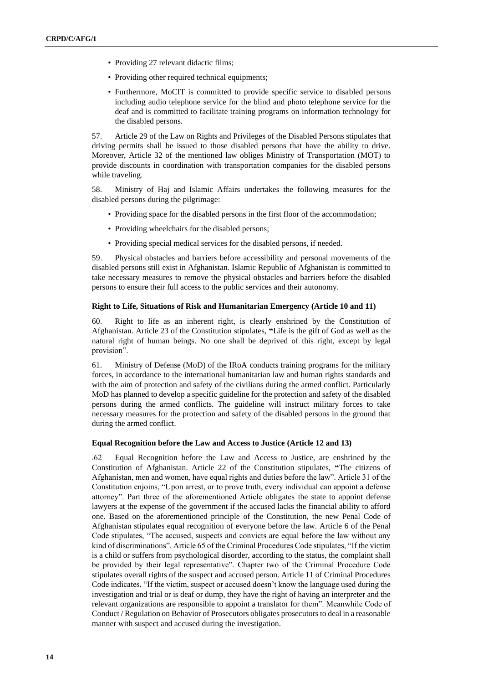- Providing 27 relevant didactic films;
- Providing other required technical equipments;
- Furthermore, MoCIT is committed to provide specific service to disabled persons including audio telephone service for the blind and photo telephone service for the deaf and is committed to facilitate training programs on information technology for the disabled persons.

57. Article 29 of the Law on Rights and Privileges of the Disabled Persons stipulates that driving permits shall be issued to those disabled persons that have the ability to drive. Moreover, Article 32 of the mentioned law obliges Ministry of Transportation (MOT) to provide discounts in coordination with transportation companies for the disabled persons while traveling.

58. Ministry of Haj and Islamic Affairs undertakes the following measures for the disabled persons during the pilgrimage:

- Providing space for the disabled persons in the first floor of the accommodation;
- Providing wheelchairs for the disabled persons;
- Providing special medical services for the disabled persons, if needed.

59. Physical obstacles and barriers before accessibility and personal movements of the disabled persons still exist in Afghanistan. Islamic Republic of Afghanistan is committed to take necessary measures to remove the physical obstacles and barriers before the disabled persons to ensure their full access to the public services and their autonomy.

#### **Right to Life, Situations of Risk and Humanitarian Emergency (Article 10 and 11)**

60. Right to life as an inherent right, is clearly enshrined by the Constitution of Afghanistan. Article 23 of the Constitution stipulates, **"**Life is the gift of God as well as the natural right of human beings. No one shall be deprived of this right, except by legal provision".

61. Ministry of Defense (MoD) of the IRoA conducts training programs for the military forces, in accordance to the international humanitarian law and human rights standards and with the aim of protection and safety of the civilians during the armed conflict. Particularly MoD has planned to develop a specific guideline for the protection and safety of the disabled persons during the armed conflicts. The guideline will instruct military forces to take necessary measures for the protection and safety of the disabled persons in the ground that during the armed conflict.

#### **Equal Recognition before the Law and Access to Justice (Article 12 and 13)**

 .62 Equal Recognition before the Law and Access to Justice, are enshrined by the Constitution of Afghanistan. Article 22 of the Constitution stipulates, **"**The citizens of Afghanistan, men and women, have equal rights and duties before the law". Article 31 of the Constitution enjoins, "Upon arrest, or to prove truth, every individual can appoint a defense attorney". Part three of the aforementioned Article obligates the state to appoint defense lawyers at the expense of the government if the accused lacks the financial ability to afford one. Based on the aforementioned principle of the Constitution, the new Penal Code of Afghanistan stipulates equal recognition of everyone before the law. Article 6 of the Penal Code stipulates, "The accused, suspects and convicts are equal before the law without any kind of discriminations". Article 65 of the Criminal Procedures Code stipulates, "If the victim is a child or suffers from psychological disorder, according to the status, the complaint shall be provided by their legal representative". Chapter two of the Criminal Procedure Code stipulates overall rights of the suspect and accused person. Article 11 of Criminal Procedures Code indicates, "If the victim, suspect or accused doesn't know the language used during the investigation and trial or is deaf or dump, they have the right of having an interpreter and the relevant organizations are responsible to appoint a translator for them". Meanwhile Code of Conduct / Regulation on Behavior of Prosecutors obligates prosecutors to deal in a reasonable manner with suspect and accused during the investigation.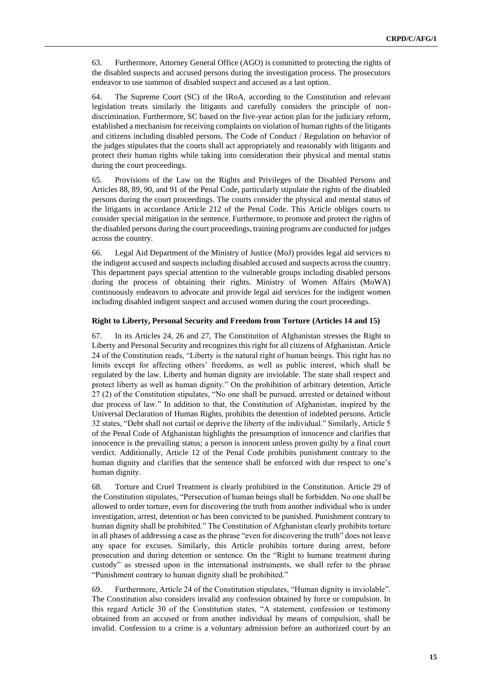63. Furthermore, Attorney General Office (AGO) is committed to protecting the rights of the disabled suspects and accused persons during the investigation process. The prosecutors endeavor to use summon of disabled suspect and accused as a last option.

64. The Supreme Court (SC) of the IRoA, according to the Constitution and relevant legislation treats similarly the litigants and carefully considers the principle of nondiscrimination. Furthermore, SC based on the five-year action plan for the judiciary reform, established a mechanism for receiving complaints on violation of human rights of the litigants and citizens including disabled persons. The Code of Conduct / Regulation on behavior of the judges stipulates that the courts shall act appropriately and reasonably with litigants and protect their human rights while taking into consideration their physical and mental status during the court proceedings.

65. Provisions of the Law on the Rights and Privileges of the Disabled Persons and Articles 88, 89, 90, and 91 of the Penal Code, particularly stipulate the rights of the disabled persons during the court proceedings. The courts consider the physical and mental status of the litigants in accordance Article 212 of the Penal Code. This Article obliges courts to consider special mitigation in the sentence. Furthermore, to promote and protect the rights of the disabled persons during the court proceedings, training programs are conducted for judges across the country.

66. Legal Aid Department of the Ministry of Justice (MoJ) provides legal aid services to the indigent accused and suspects including disabled accused and suspects across the country. This department pays special attention to the vulnerable groups including disabled persons during the process of obtaining their rights. Ministry of Women Affairs (MoWA) continuously endeavors to advocate and provide legal aid services for the indigent women including disabled indigent suspect and accused women during the court proceedings.

#### **Right to Liberty, Personal Security and Freedom from Torture (Articles 14 and 15)**

67. In its Articles 24, 26 and 27, The Constitution of Afghanistan stresses the Right to Liberty and Personal Security and recognizes this right for all citizens of Afghanistan. Article 24 of the Constitution reads, "Liberty is the natural right of human beings. This right has no limits except for affecting others' freedoms, as well as public interest, which shall be regulated by the law. Liberty and human dignity are inviolable. The state shall respect and protect liberty as well as human dignity." On the prohibition of arbitrary detention, Article 27 (2) of the Constitution stipulates, "No one shall be pursued, arrested or detained without due process of law." In addition to that, the Constitution of Afghanistan, inspired by the Universal Declaration of Human Rights, prohibits the detention of indebted persons. Article 32 states, "Debt shall not curtail or deprive the liberty of the individual." Similarly, Article 5 of the Penal Code of Afghanistan highlights the presumption of innocence and clarifies that innocence is the prevailing status; a person is innocent unless proven guilty by a final court verdict. Additionally, Article 12 of the Penal Code prohibits punishment contrary to the human dignity and clarifies that the sentence shall be enforced with due respect to one's human dignity.

68. Torture and Cruel Treatment is clearly prohibited in the Constitution. Article 29 of the Constitution stipulates, "Persecution of human beings shall be forbidden. No one shall be allowed to order torture, even for discovering the truth from another individual who is under investigation, arrest, detention or has been convicted to be punished. Punishment contrary to human dignity shall be prohibited." The Constitution of Afghanistan clearly prohibits torture in all phases of addressing a case as the phrase "even for discovering the truth" does not leave any space for excuses. Similarly, this Article prohibits torture during arrest, before prosecution and during detention or sentence. On the "Right to humane treatment during custody" as stressed upon in the international instruments, we shall refer to the phrase "Punishment contrary to human dignity shall be prohibited."

69. Furthermore, Article 24 of the Constitution stipulates, "Human dignity is inviolable". The Constitution also considers invalid any confession obtained by force or compulsion. In this regard Article 30 of the Constitution states, "A statement, confession or testimony obtained from an accused or from another individual by means of compulsion, shall be invalid. Confession to a crime is a voluntary admission before an authorized court by an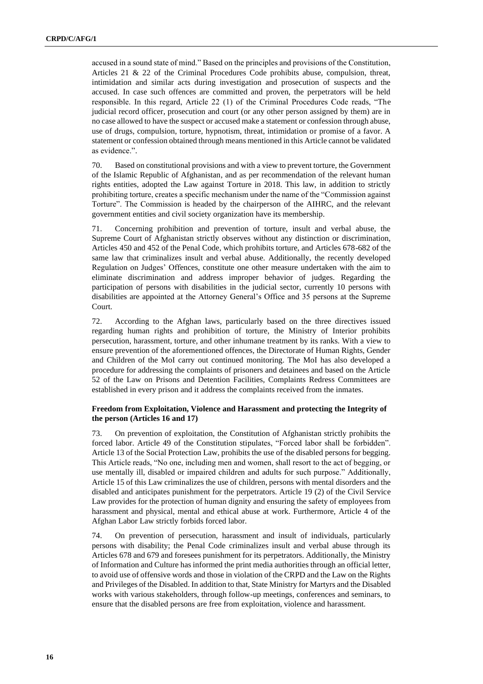accused in a sound state of mind." Based on the principles and provisions of the Constitution, Articles 21 & 22 of the Criminal Procedures Code prohibits abuse, compulsion, threat, intimidation and similar acts during investigation and prosecution of suspects and the accused. In case such offences are committed and proven, the perpetrators will be held responsible. In this regard, Article 22 (1) of the Criminal Procedures Code reads, "The judicial record officer, prosecution and court (or any other person assigned by them) are in no case allowed to have the suspect or accused make a statement or confession through abuse, use of drugs, compulsion, torture, hypnotism, threat, intimidation or promise of a favor. A statement or confession obtained through means mentioned in this Article cannot be validated as evidence.".

70. Based on constitutional provisions and with a view to prevent torture, the Government of the Islamic Republic of Afghanistan, and as per recommendation of the relevant human rights entities, adopted the Law against Torture in 2018. This law, in addition to strictly prohibiting torture, creates a specific mechanism under the name of the "Commission against Torture". The Commission is headed by the chairperson of the AIHRC, and the relevant government entities and civil society organization have its membership.

71. Concerning prohibition and prevention of torture, insult and verbal abuse, the Supreme Court of Afghanistan strictly observes without any distinction or discrimination, Articles 450 and 452 of the Penal Code, which prohibits torture, and Articles 678-682 of the same law that criminalizes insult and verbal abuse. Additionally, the recently developed Regulation on Judges' Offences, constitute one other measure undertaken with the aim to eliminate discrimination and address improper behavior of judges. Regarding the participation of persons with disabilities in the judicial sector, currently 10 persons with disabilities are appointed at the Attorney General's Office and 35 persons at the Supreme Court.

72. According to the Afghan laws, particularly based on the three directives issued regarding human rights and prohibition of torture, the Ministry of Interior prohibits persecution, harassment, torture, and other inhumane treatment by its ranks. With a view to ensure prevention of the aforementioned offences, the Directorate of Human Rights, Gender and Children of the MoI carry out continued monitoring. The MoI has also developed a procedure for addressing the complaints of prisoners and detainees and based on the Article 52 of the Law on Prisons and Detention Facilities, Complaints Redress Committees are established in every prison and it address the complaints received from the inmates.

#### **Freedom from Exploitation, Violence and Harassment and protecting the Integrity of the person (Articles 16 and 17)**

73. On prevention of exploitation, the Constitution of Afghanistan strictly prohibits the forced labor. Article 49 of the Constitution stipulates, "Forced labor shall be forbidden". Article 13 of the Social Protection Law, prohibits the use of the disabled persons for begging. This Article reads, "No one, including men and women, shall resort to the act of begging, or use mentally ill, disabled or impaired children and adults for such purpose." Additionally, Article 15 of this Law criminalizes the use of children, persons with mental disorders and the disabled and anticipates punishment for the perpetrators. Article 19 (2) of the Civil Service Law provides for the protection of human dignity and ensuring the safety of employees from harassment and physical, mental and ethical abuse at work. Furthermore, Article 4 of the Afghan Labor Law strictly forbids forced labor.

74. On prevention of persecution, harassment and insult of individuals, particularly persons with disability; the Penal Code criminalizes insult and verbal abuse through its Articles 678 and 679 and foresees punishment for its perpetrators. Additionally, the Ministry of Information and Culture has informed the print media authorities through an official letter, to avoid use of offensive words and those in violation of the CRPD and the Law on the Rights and Privileges of the Disabled. In addition to that, State Ministry for Martyrs and the Disabled works with various stakeholders, through follow-up meetings, conferences and seminars, to ensure that the disabled persons are free from exploitation, violence and harassment.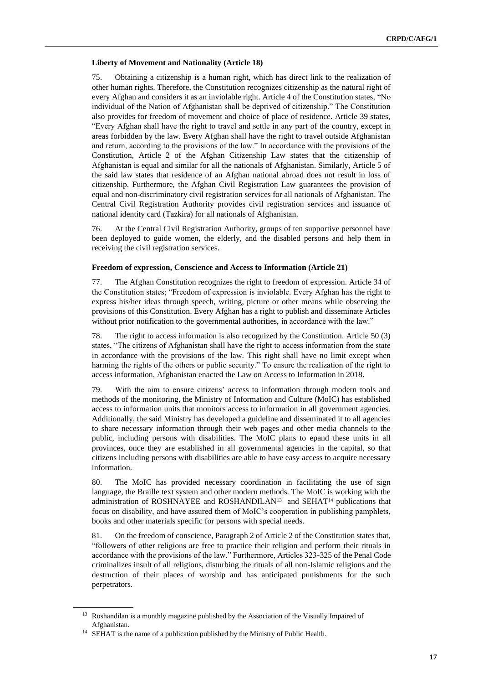#### **Liberty of Movement and Nationality (Article 18)**

75. Obtaining a citizenship is a human right, which has direct link to the realization of other human rights. Therefore, the Constitution recognizes citizenship as the natural right of every Afghan and considers it as an inviolable right. Article 4 of the Constitution states, "No individual of the Nation of Afghanistan shall be deprived of citizenship." The Constitution also provides for freedom of movement and choice of place of residence. Article 39 states, "Every Afghan shall have the right to travel and settle in any part of the country, except in areas forbidden by the law. Every Afghan shall have the right to travel outside Afghanistan and return, according to the provisions of the law." In accordance with the provisions of the Constitution, Article 2 of the Afghan Citizenship Law states that the citizenship of Afghanistan is equal and similar for all the nationals of Afghanistan. Similarly, Article 5 of the said law states that residence of an Afghan national abroad does not result in loss of citizenship. Furthermore, the Afghan Civil Registration Law guarantees the provision of equal and non-discriminatory civil registration services for all nationals of Afghanistan. The Central Civil Registration Authority provides civil registration services and issuance of national identity card (Tazkira) for all nationals of Afghanistan.

76. At the Central Civil Registration Authority, groups of ten supportive personnel have been deployed to guide women, the elderly, and the disabled persons and help them in receiving the civil registration services.

#### **Freedom of expression, Conscience and Access to Information (Article 21)**

77. The Afghan Constitution recognizes the right to freedom of expression. Article 34 of the Constitution states; "Freedom of expression is inviolable. Every Afghan has the right to express his/her ideas through speech, writing, picture or other means while observing the provisions of this Constitution. Every Afghan has a right to publish and disseminate Articles without prior notification to the governmental authorities, in accordance with the law."

78. The right to access information is also recognized by the Constitution. Article 50 (3) states, "The citizens of Afghanistan shall have the right to access information from the state in accordance with the provisions of the law. This right shall have no limit except when harming the rights of the others or public security." To ensure the realization of the right to access information, Afghanistan enacted the Law on Access to Information in 2018.

79. With the aim to ensure citizens' access to information through modern tools and methods of the monitoring, the Ministry of Information and Culture (MoIC) has established access to information units that monitors access to information in all government agencies. Additionally, the said Ministry has developed a guideline and disseminated it to all agencies to share necessary information through their web pages and other media channels to the public, including persons with disabilities. The MoIC plans to epand these units in all provinces, once they are established in all governmental agencies in the capital, so that citizens including persons with disabilities are able to have easy access to acquire necessary information.

80. The MoIC has provided necessary coordination in facilitating the use of sign language, the Braille text system and other modern methods. The MoIC is working with the administration of ROSHNAYEE and ROSHANDILAN<sup>13</sup> and SEHAT<sup>14</sup> publications that focus on disability, and have assured them of MoIC's cooperation in publishing pamphlets, books and other materials specific for persons with special needs.

81. On the freedom of conscience, Paragraph 2 of Article 2 of the Constitution states that, "followers of other religions are free to practice their religion and perform their rituals in accordance with the provisions of the law." Furthermore, Articles 323-325 of the Penal Code criminalizes insult of all religions, disturbing the rituals of all non-Islamic religions and the destruction of their places of worship and has anticipated punishments for the such perpetrators.

<sup>&</sup>lt;sup>13</sup> Roshandilan is a monthly magazine published by the Association of the Visually Impaired of Afghanistan.

<sup>&</sup>lt;sup>14</sup> SEHAT is the name of a publication published by the Ministry of Public Health.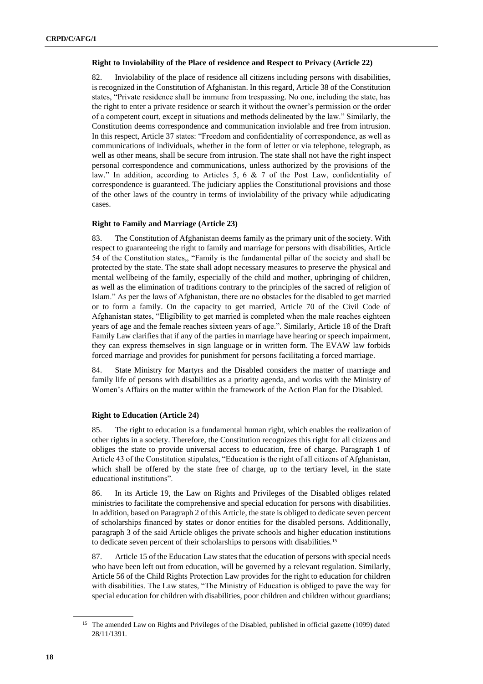#### **Right to Inviolability of the Place of residence and Respect to Privacy (Article 22)**

82. Inviolability of the place of residence all citizens including persons with disabilities, is recognized in the Constitution of Afghanistan. In this regard, Article 38 of the Constitution states, "Private residence shall be immune from trespassing. No one, including the state, has the right to enter a private residence or search it without the owner's permission or the order of a competent court, except in situations and methods delineated by the law." Similarly, the Constitution deems correspondence and communication inviolable and free from intrusion. In this respect, Article 37 states: "Freedom and confidentiality of correspondence, as well as communications of individuals, whether in the form of letter or via telephone, telegraph, as well as other means, shall be secure from intrusion. The state shall not have the right inspect personal correspondence and communications, unless authorized by the provisions of the law." In addition, according to Articles 5, 6 & 7 of the Post Law, confidentiality of correspondence is guaranteed. The judiciary applies the Constitutional provisions and those of the other laws of the country in terms of inviolability of the privacy while adjudicating cases.

#### **Right to Family and Marriage (Article 23)**

83. The Constitution of Afghanistan deems family as the primary unit of the society. With respect to guaranteeing the right to family and marriage for persons with disabilities, Article 54 of the Constitution states,, "Family is the fundamental pillar of the society and shall be protected by the state. The state shall adopt necessary measures to preserve the physical and mental wellbeing of the family, especially of the child and mother, upbringing of children, as well as the elimination of traditions contrary to the principles of the sacred of religion of Islam." As per the laws of Afghanistan, there are no obstacles for the disabled to get married or to form a family. On the capacity to get married, Article 70 of the Civil Code of Afghanistan states, "Eligibility to get married is completed when the male reaches eighteen years of age and the female reaches sixteen years of age.". Similarly, Article 18 of the Draft Family Law clarifies that if any of the parties in marriage have hearing or speech impairment, they can express themselves in sign language or in written form. The EVAW law forbids forced marriage and provides for punishment for persons facilitating a forced marriage.

84. State Ministry for Martyrs and the Disabled considers the matter of marriage and family life of persons with disabilities as a priority agenda, and works with the Ministry of Women's Affairs on the matter within the framework of the Action Plan for the Disabled.

#### **Right to Education (Article 24)**

85. The right to education is a fundamental human right, which enables the realization of other rights in a society. Therefore, the Constitution recognizes this right for all citizens and obliges the state to provide universal access to education, free of charge. Paragraph 1 of Article 43 of the Constitution stipulates, "Education is the right of all citizens of Afghanistan, which shall be offered by the state free of charge, up to the tertiary level, in the state educational institutions".

86. In its Article 19, the Law on Rights and Privileges of the Disabled obliges related ministries to facilitate the comprehensive and special education for persons with disabilities. In addition, based on Paragraph 2 of this Article, the state is obliged to dedicate seven percent of scholarships financed by states or donor entities for the disabled persons. Additionally, paragraph 3 of the said Article obliges the private schools and higher education institutions to dedicate seven percent of their scholarships to persons with disabilities.<sup>15</sup>

87. Article 15 of the Education Law states that the education of persons with special needs who have been left out from education, will be governed by a relevant regulation. Similarly, Article 56 of the Child Rights Protection Law provides for the right to education for children with disabilities. The Law states, "The Ministry of Education is obliged to pave the way for special education for children with disabilities, poor children and children without guardians;

<sup>&</sup>lt;sup>15</sup> The amended Law on Rights and Privileges of the Disabled, published in official gazette (1099) dated 28/11/1391.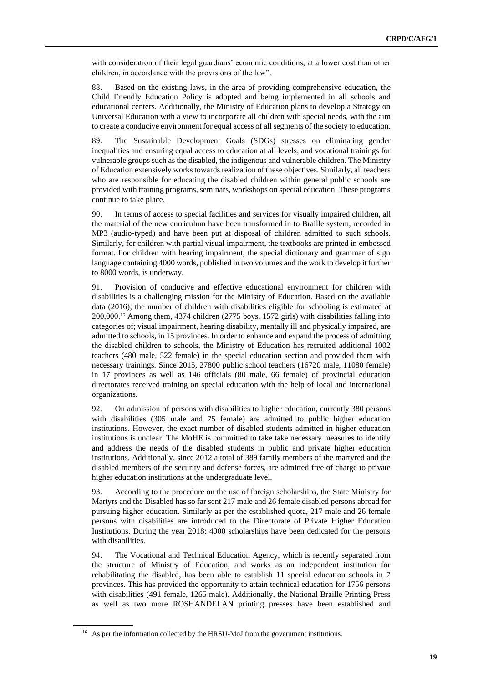with consideration of their legal guardians' economic conditions, at a lower cost than other children, in accordance with the provisions of the law".

88. Based on the existing laws, in the area of providing comprehensive education, the Child Friendly Education Policy is adopted and being implemented in all schools and educational centers. Additionally, the Ministry of Education plans to develop a Strategy on Universal Education with a view to incorporate all children with special needs, with the aim to create a conducive environment for equal access of all segments of the society to education.

89. The Sustainable Development Goals (SDGs) stresses on eliminating gender inequalities and ensuring equal access to education at all levels, and vocational trainings for vulnerable groups such as the disabled, the indigenous and vulnerable children. The Ministry of Education extensively works towards realization of these objectives. Similarly, all teachers who are responsible for educating the disabled children within general public schools are provided with training programs, seminars, workshops on special education. These programs continue to take place.

90. In terms of access to special facilities and services for visually impaired children, all the material of the new curriculum have been transformed in to Braille system, recorded in MP3 (audio-typed) and have been put at disposal of children admitted to such schools. Similarly, for children with partial visual impairment, the textbooks are printed in embossed format. For children with hearing impairment, the special dictionary and grammar of sign language containing 4000 words, published in two volumes and the work to develop it further to 8000 words, is underway.

91. Provision of conducive and effective educational environment for children with disabilities is a challenging mission for the Ministry of Education. Based on the available data (2016); the number of children with disabilities eligible for schooling is estimated at 200,000.<sup>16</sup> Among them, 4374 children (2775 boys, 1572 girls) with disabilities falling into categories of; visual impairment, hearing disability, mentally ill and physically impaired, are admitted to schools, in 15 provinces. In order to enhance and expand the process of admitting the disabled children to schools, the Ministry of Education has recruited additional 1002 teachers (480 male, 522 female) in the special education section and provided them with necessary trainings. Since 2015, 27800 public school teachers (16720 male, 11080 female) in 17 provinces as well as 146 officials (80 male, 66 female) of provincial education directorates received training on special education with the help of local and international organizations.

92. On admission of persons with disabilities to higher education, currently 380 persons with disabilities (305 male and 75 female) are admitted to public higher education institutions. However, the exact number of disabled students admitted in higher education institutions is unclear. The MoHE is committed to take take necessary measures to identify and address the needs of the disabled students in public and private higher education institutions. Additionally, since 2012 a total of 389 family members of the martyred and the disabled members of the security and defense forces, are admitted free of charge to private higher education institutions at the undergraduate level.

93. According to the procedure on the use of foreign scholarships, the State Ministry for Martyrs and the Disabled has so far sent 217 male and 26 female disabled persons abroad for pursuing higher education. Similarly as per the established quota, 217 male and 26 female persons with disabilities are introduced to the Directorate of Private Higher Education Institutions. During the year 2018; 4000 scholarships have been dedicated for the persons with disabilities.

94. The Vocational and Technical Education Agency, which is recently separated from the structure of Ministry of Education, and works as an independent institution for rehabilitating the disabled, has been able to establish 11 special education schools in 7 provinces. This has provided the opportunity to attain technical education for 1756 persons with disabilities (491 female, 1265 male). Additionally, the National Braille Printing Press as well as two more ROSHANDELAN printing presses have been established and

<sup>&</sup>lt;sup>16</sup> As per the information collected by the HRSU-MoJ from the government institutions.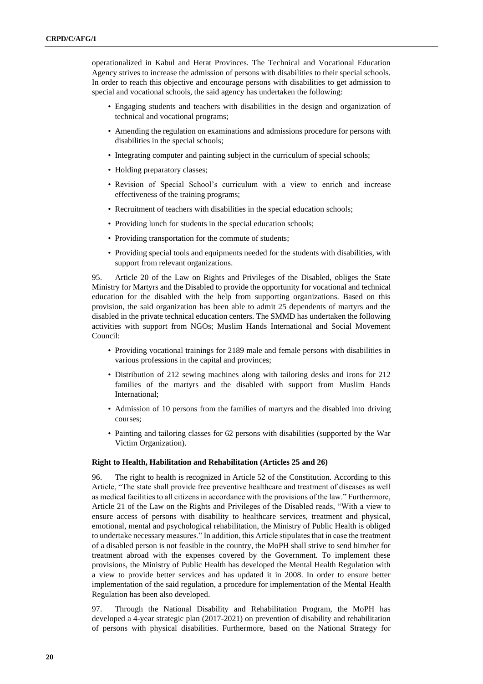operationalized in Kabul and Herat Provinces. The Technical and Vocational Education Agency strives to increase the admission of persons with disabilities to their special schools. In order to reach this objective and encourage persons with disabilities to get admission to special and vocational schools, the said agency has undertaken the following:

- Engaging students and teachers with disabilities in the design and organization of technical and vocational programs;
- Amending the regulation on examinations and admissions procedure for persons with disabilities in the special schools;
- Integrating computer and painting subject in the curriculum of special schools;
- Holding preparatory classes;
- Revision of Special School's curriculum with a view to enrich and increase effectiveness of the training programs;
- Recruitment of teachers with disabilities in the special education schools;
- Providing lunch for students in the special education schools;
- Providing transportation for the commute of students;
- Providing special tools and equipments needed for the students with disabilities, with support from relevant organizations.

95. Article 20 of the Law on Rights and Privileges of the Disabled, obliges the State Ministry for Martyrs and the Disabled to provide the opportunity for vocational and technical education for the disabled with the help from supporting organizations. Based on this provision, the said organization has been able to admit 25 dependents of martyrs and the disabled in the private technical education centers. The SMMD has undertaken the following activities with support from NGOs; Muslim Hands International and Social Movement Council:

- Providing vocational trainings for 2189 male and female persons with disabilities in various professions in the capital and provinces;
- Distribution of 212 sewing machines along with tailoring desks and irons for 212 families of the martyrs and the disabled with support from Muslim Hands International;
- Admission of 10 persons from the families of martyrs and the disabled into driving courses;
- Painting and tailoring classes for 62 persons with disabilities (supported by the War Victim Organization).

#### **Right to Health, Habilitation and Rehabilitation (Articles 25 and 26)**

96. The right to health is recognized in Article 52 of the Constitution. According to this Article, "The state shall provide free preventive healthcare and treatment of diseases as well as medical facilities to all citizens in accordance with the provisions of the law." Furthermore, Article 21 of the Law on the Rights and Privileges of the Disabled reads, "With a view to ensure access of persons with disability to healthcare services, treatment and physical, emotional, mental and psychological rehabilitation, the Ministry of Public Health is obliged to undertake necessary measures." In addition, this Article stipulates that in case the treatment of a disabled person is not feasible in the country, the MoPH shall strive to send him/her for treatment abroad with the expenses covered by the Government. To implement these provisions, the Ministry of Public Health has developed the Mental Health Regulation with a view to provide better services and has updated it in 2008. In order to ensure better implementation of the said regulation, a procedure for implementation of the Mental Health Regulation has been also developed.

97. Through the National Disability and Rehabilitation Program, the MoPH has developed a 4-year strategic plan (2017-2021) on prevention of disability and rehabilitation of persons with physical disabilities. Furthermore, based on the National Strategy for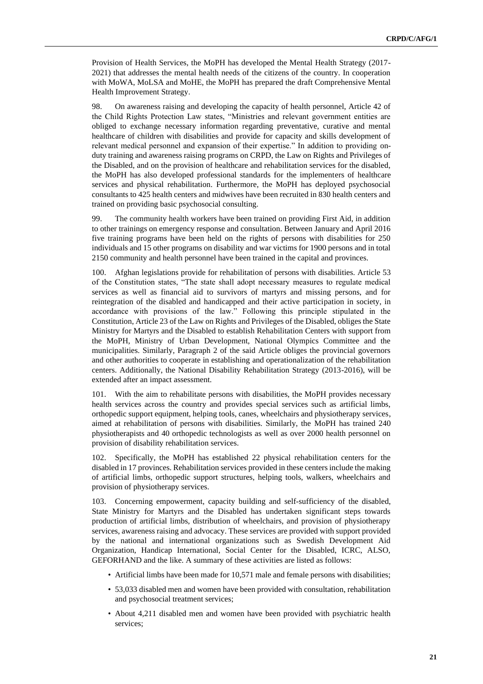Provision of Health Services, the MoPH has developed the Mental Health Strategy (2017- 2021) that addresses the mental health needs of the citizens of the country. In cooperation with MoWA, MoLSA and MoHE, the MoPH has prepared the draft Comprehensive Mental Health Improvement Strategy.

98. On awareness raising and developing the capacity of health personnel, Article 42 of the Child Rights Protection Law states, "Ministries and relevant government entities are obliged to exchange necessary information regarding preventative, curative and mental healthcare of children with disabilities and provide for capacity and skills development of relevant medical personnel and expansion of their expertise." In addition to providing onduty training and awareness raising programs on CRPD, the Law on Rights and Privileges of the Disabled, and on the provision of healthcare and rehabilitation services for the disabled, the MoPH has also developed professional standards for the implementers of healthcare services and physical rehabilitation. Furthermore, the MoPH has deployed psychosocial consultants to 425 health centers and midwives have been recruited in 830 health centers and trained on providing basic psychosocial consulting.

99. The community health workers have been trained on providing First Aid, in addition to other trainings on emergency response and consultation. Between January and April 2016 five training programs have been held on the rights of persons with disabilities for 250 individuals and 15 other programs on disability and war victims for 1900 persons and in total 2150 community and health personnel have been trained in the capital and provinces.

100. Afghan legislations provide for rehabilitation of persons with disabilities. Article 53 of the Constitution states, "The state shall adopt necessary measures to regulate medical services as well as financial aid to survivors of martyrs and missing persons, and for reintegration of the disabled and handicapped and their active participation in society, in accordance with provisions of the law." Following this principle stipulated in the Constitution, Article 23 of the Law on Rights and Privileges of the Disabled, obliges the State Ministry for Martyrs and the Disabled to establish Rehabilitation Centers with support from the MoPH, Ministry of Urban Development, National Olympics Committee and the municipalities. Similarly, Paragraph 2 of the said Article obliges the provincial governors and other authorities to cooperate in establishing and operationalization of the rehabilitation centers. Additionally, the National Disability Rehabilitation Strategy (2013-2016), will be extended after an impact assessment.

101. With the aim to rehabilitate persons with disabilities, the MoPH provides necessary health services across the country and provides special services such as artificial limbs, orthopedic support equipment, helping tools, canes, wheelchairs and physiotherapy services, aimed at rehabilitation of persons with disabilities. Similarly, the MoPH has trained 240 physiotherapists and 40 orthopedic technologists as well as over 2000 health personnel on provision of disability rehabilitation services.

102. Specifically, the MoPH has established 22 physical rehabilitation centers for the disabled in 17 provinces. Rehabilitation services provided in these centers include the making of artificial limbs, orthopedic support structures, helping tools, walkers, wheelchairs and provision of physiotherapy services.

103. Concerning empowerment, capacity building and self-sufficiency of the disabled, State Ministry for Martyrs and the Disabled has undertaken significant steps towards production of artificial limbs, distribution of wheelchairs, and provision of physiotherapy services, awareness raising and advocacy. These services are provided with support provided by the national and international organizations such as Swedish Development Aid Organization, Handicap International, Social Center for the Disabled, ICRC, ALSO, GEFORHAND and the like. A summary of these activities are listed as follows:

- Artificial limbs have been made for 10,571 male and female persons with disabilities;
- 53,033 disabled men and women have been provided with consultation, rehabilitation and psychosocial treatment services;
- About 4,211 disabled men and women have been provided with psychiatric health services;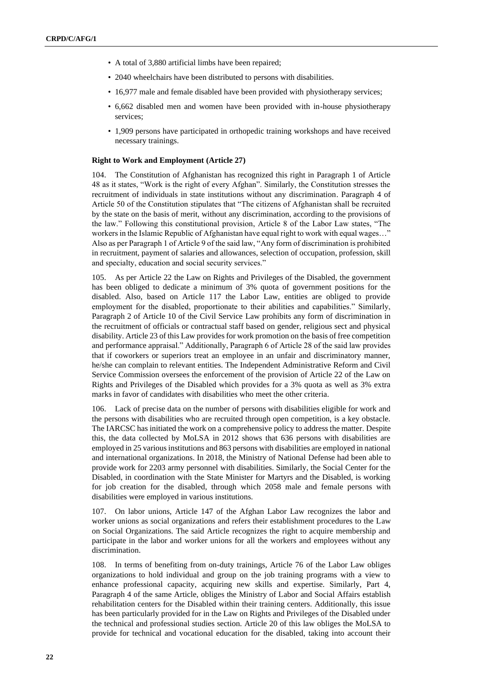- A total of 3,880 artificial limbs have been repaired;
- 2040 wheelchairs have been distributed to persons with disabilities.
- 16,977 male and female disabled have been provided with physiotherapy services;
- 6,662 disabled men and women have been provided with in-house physiotherapy services;
- 1,909 persons have participated in orthopedic training workshops and have received necessary trainings.

#### **Right to Work and Employment (Article 27)**

104. The Constitution of Afghanistan has recognized this right in Paragraph 1 of Article 48 as it states, "Work is the right of every Afghan". Similarly, the Constitution stresses the recruitment of individuals in state institutions without any discrimination. Paragraph 4 of Article 50 of the Constitution stipulates that "The citizens of Afghanistan shall be recruited by the state on the basis of merit, without any discrimination, according to the provisions of the law." Following this constitutional provision, Article 8 of the Labor Law states, "The workers in the Islamic Republic of Afghanistan have equal right to work with equal wages…" Also as per Paragraph 1 of Article 9 of the said law, "Any form of discrimination is prohibited in recruitment, payment of salaries and allowances, selection of occupation, profession, skill and specialty, education and social security services."

105. As per Article 22 the Law on Rights and Privileges of the Disabled, the government has been obliged to dedicate a minimum of 3% quota of government positions for the disabled. Also, based on Article 117 the Labor Law, entities are obliged to provide employment for the disabled, proportionate to their abilities and capabilities." Similarly, Paragraph 2 of Article 10 of the Civil Service Law prohibits any form of discrimination in the recruitment of officials or contractual staff based on gender, religious sect and physical disability. Article 23 of this Law provides for work promotion on the basis of free competition and performance appraisal." Additionally, Paragraph 6 of Article 28 of the said law provides that if coworkers or superiors treat an employee in an unfair and discriminatory manner, he/she can complain to relevant entities. The Independent Administrative Reform and Civil Service Commission oversees the enforcement of the provision of Article 22 of the Law on Rights and Privileges of the Disabled which provides for a 3% quota as well as 3% extra marks in favor of candidates with disabilities who meet the other criteria.

106. Lack of precise data on the number of persons with disabilities eligible for work and the persons with disabilities who are recruited through open competition, is a key obstacle. The IARCSC has initiated the work on a comprehensive policy to address the matter. Despite this, the data collected by MoLSA in 2012 shows that 636 persons with disabilities are employed in 25 various institutions and 863 persons with disabilities are employed in national and international organizations. In 2018, the Ministry of National Defense had been able to provide work for 2203 army personnel with disabilities. Similarly, the Social Center for the Disabled, in coordination with the State Minister for Martyrs and the Disabled, is working for job creation for the disabled, through which 2058 male and female persons with disabilities were employed in various institutions.

107. On labor unions, Article 147 of the Afghan Labor Law recognizes the labor and worker unions as social organizations and refers their establishment procedures to the Law on Social Organizations. The said Article recognizes the right to acquire membership and participate in the labor and worker unions for all the workers and employees without any discrimination.

In terms of benefiting from on-duty trainings, Article 76 of the Labor Law obliges organizations to hold individual and group on the job training programs with a view to enhance professional capacity, acquiring new skills and expertise. Similarly, Part 4, Paragraph 4 of the same Article, obliges the Ministry of Labor and Social Affairs establish rehabilitation centers for the Disabled within their training centers. Additionally, this issue has been particularly provided for in the Law on Rights and Privileges of the Disabled under the technical and professional studies section. Article 20 of this law obliges the MoLSA to provide for technical and vocational education for the disabled, taking into account their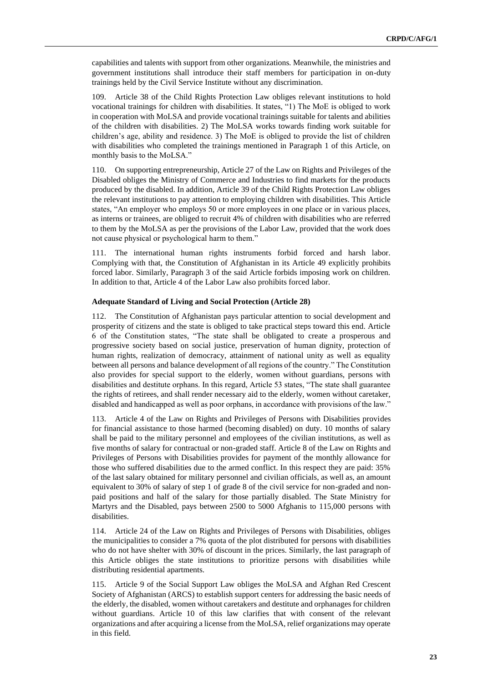capabilities and talents with support from other organizations. Meanwhile, the ministries and government institutions shall introduce their staff members for participation in on-duty trainings held by the Civil Service Institute without any discrimination.

109. Article 38 of the Child Rights Protection Law obliges relevant institutions to hold vocational trainings for children with disabilities. It states, "1) The MoE is obliged to work in cooperation with MoLSA and provide vocational trainings suitable for talents and abilities of the children with disabilities. 2) The MoLSA works towards finding work suitable for children's age, ability and residence. 3) The MoE is obliged to provide the list of children with disabilities who completed the trainings mentioned in Paragraph 1 of this Article, on monthly basis to the MoLSA."

110. On supporting entrepreneurship, Article 27 of the Law on Rights and Privileges of the Disabled obliges the Ministry of Commerce and Industries to find markets for the products produced by the disabled. In addition, Article 39 of the Child Rights Protection Law obliges the relevant institutions to pay attention to employing children with disabilities. This Article states, "An employer who employs 50 or more employees in one place or in various places, as interns or trainees, are obliged to recruit 4% of children with disabilities who are referred to them by the MoLSA as per the provisions of the Labor Law, provided that the work does not cause physical or psychological harm to them."

111. The international human rights instruments forbid forced and harsh labor. Complying with that, the Constitution of Afghanistan in its Article 49 explicitly prohibits forced labor. Similarly, Paragraph 3 of the said Article forbids imposing work on children. In addition to that, Article 4 of the Labor Law also prohibits forced labor.

#### **Adequate Standard of Living and Social Protection (Article 28)**

112. The Constitution of Afghanistan pays particular attention to social development and prosperity of citizens and the state is obliged to take practical steps toward this end. Article 6 of the Constitution states, "The state shall be obligated to create a prosperous and progressive society based on social justice, preservation of human dignity, protection of human rights, realization of democracy, attainment of national unity as well as equality between all persons and balance development of all regions of the country." The Constitution also provides for special support to the elderly, women without guardians, persons with disabilities and destitute orphans. In this regard, Article 53 states, "The state shall guarantee the rights of retirees, and shall render necessary aid to the elderly, women without caretaker, disabled and handicapped as well as poor orphans, in accordance with provisions of the law."

Article 4 of the Law on Rights and Privileges of Persons with Disabilities provides for financial assistance to those harmed (becoming disabled) on duty. 10 months of salary shall be paid to the military personnel and employees of the civilian institutions, as well as five months of salary for contractual or non-graded staff. Article 8 of the Law on Rights and Privileges of Persons with Disabilities provides for payment of the monthly allowance for those who suffered disabilities due to the armed conflict. In this respect they are paid: 35% of the last salary obtained for military personnel and civilian officials, as well as, an amount equivalent to 30% of salary of step 1 of grade 8 of the civil service for non-graded and nonpaid positions and half of the salary for those partially disabled. The State Ministry for Martyrs and the Disabled, pays between 2500 to 5000 Afghanis to 115,000 persons with disabilities.

114. Article 24 of the Law on Rights and Privileges of Persons with Disabilities, obliges the municipalities to consider a 7% quota of the plot distributed for persons with disabilities who do not have shelter with 30% of discount in the prices. Similarly, the last paragraph of this Article obliges the state institutions to prioritize persons with disabilities while distributing residential apartments.

115. Article 9 of the Social Support Law obliges the MoLSA and Afghan Red Crescent Society of Afghanistan (ARCS) to establish support centers for addressing the basic needs of the elderly, the disabled, women without caretakers and destitute and orphanages for children without guardians. Article 10 of this law clarifies that with consent of the relevant organizations and after acquiring a license from the MoLSA, relief organizations may operate in this field.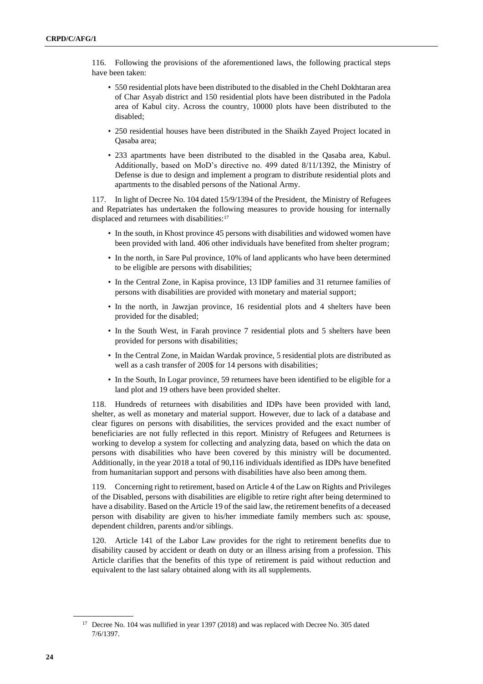116. Following the provisions of the aforementioned laws, the following practical steps have been taken:

- 550 residential plots have been distributed to the disabled in the Chehl Dokhtaran area of Char Asyab district and 150 residential plots have been distributed in the Padola area of Kabul city. Across the country, 10000 plots have been distributed to the disabled;
- 250 residential houses have been distributed in the Shaikh Zayed Project located in Qasaba area;
- 233 apartments have been distributed to the disabled in the Qasaba area, Kabul. Additionally, based on MoD's directive no. 499 dated 8/11/1392, the Ministry of Defense is due to design and implement a program to distribute residential plots and apartments to the disabled persons of the National Army.

117. In light of Decree No. 104 dated 15/9/1394 of the President, the Ministry of Refugees and Repatriates has undertaken the following measures to provide housing for internally displaced and returnees with disabilities:<sup>17</sup>

- In the south, in Khost province 45 persons with disabilities and widowed women have been provided with land. 406 other individuals have benefited from shelter program;
- In the north, in Sare Pul province, 10% of land applicants who have been determined to be eligible are persons with disabilities;
- In the Central Zone, in Kapisa province, 13 IDP families and 31 returnee families of persons with disabilities are provided with monetary and material support;
- In the north, in Jawzjan province, 16 residential plots and 4 shelters have been provided for the disabled;
- In the South West, in Farah province 7 residential plots and 5 shelters have been provided for persons with disabilities;
- In the Central Zone, in Maidan Wardak province, 5 residential plots are distributed as well as a cash transfer of 200\$ for 14 persons with disabilities;
- In the South, In Logar province, 59 returnees have been identified to be eligible for a land plot and 19 others have been provided shelter.

118. Hundreds of returnees with disabilities and IDPs have been provided with land, shelter, as well as monetary and material support. However, due to lack of a database and clear figures on persons with disabilities, the services provided and the exact number of beneficiaries are not fully reflected in this report. Ministry of Refugees and Returnees is working to develop a system for collecting and analyzing data, based on which the data on persons with disabilities who have been covered by this ministry will be documented. Additionally, in the year 2018 a total of 90,116 individuals identified as IDPs have benefited from humanitarian support and persons with disabilities have also been among them.

119. Concerning right to retirement, based on Article 4 of the Law on Rights and Privileges of the Disabled, persons with disabilities are eligible to retire right after being determined to have a disability. Based on the Article 19 of the said law, the retirement benefits of a deceased person with disability are given to his/her immediate family members such as: spouse, dependent children, parents and/or siblings.

120. Article 141 of the Labor Law provides for the right to retirement benefits due to disability caused by accident or death on duty or an illness arising from a profession. This Article clarifies that the benefits of this type of retirement is paid without reduction and equivalent to the last salary obtained along with its all supplements.

<sup>&</sup>lt;sup>17</sup> Decree No. 104 was nullified in year 1397 (2018) and was replaced with Decree No. 305 dated 7/6/1397.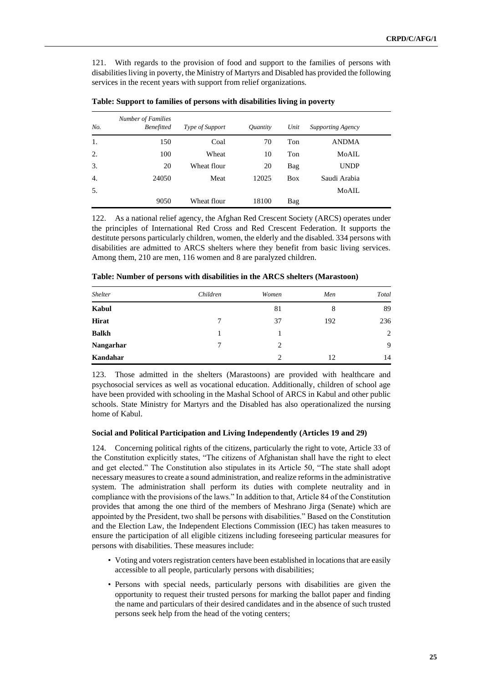121. With regards to the provision of food and support to the families of persons with disabilities living in poverty, the Ministry of Martyrs and Disabled has provided the following services in the recent years with support from relief organizations.

| No. | <b>Number of Families</b><br><b>Benefitted</b> | Type of Support | <i><u>Ouantity</u></i> | Unit       | <b>Supporting Agency</b> |  |
|-----|------------------------------------------------|-----------------|------------------------|------------|--------------------------|--|
| 1.  | 150                                            | Coal            | 70                     | Ton        | <b>ANDMA</b>             |  |
| 2.  | 100                                            | Wheat           | 10                     | Ton        | MoAIL                    |  |
| 3.  | 20                                             | Wheat flour     | 20                     | Bag        | <b>UNDP</b>              |  |
| 4.  | 24050                                          | Meat            | 12025                  | <b>Box</b> | Saudi Arabia             |  |
| 5.  |                                                |                 |                        |            | MoAIL                    |  |
|     | 9050                                           | Wheat flour     | 18100                  | Bag        |                          |  |

**Table: Support to families of persons with disabilities living in poverty**

122. As a national relief agency, the Afghan Red Crescent Society (ARCS) operates under the principles of International Red Cross and Red Crescent Federation. It supports the destitute persons particularly children, women, the elderly and the disabled. 334 persons with disabilities are admitted to ARCS shelters where they benefit from basic living services. Among them, 210 are men, 116 women and 8 are paralyzed children.

| Shelter      | Children | Women | Men | Total |
|--------------|----------|-------|-----|-------|
| Kabul        |          | 81    | 8   | 89    |
| <b>Hirat</b> | $\tau$   | 37    | 192 | 236   |
| <b>Balkh</b> |          |       |     | 2     |
| Nangarhar    | 7        | 2     |     | 9     |
| Kandahar     |          | 2     | 12  | 14    |

**Table: Number of persons with disabilities in the ARCS shelters (Marastoon)** 

123. Those admitted in the shelters (Marastoons) are provided with healthcare and psychosocial services as well as vocational education. Additionally, children of school age have been provided with schooling in the Mashal School of ARCS in Kabul and other public schools. State Ministry for Martyrs and the Disabled has also operationalized the nursing home of Kabul.

#### **Social and Political Participation and Living Independently (Articles 19 and 29)**

124. Concerning political rights of the citizens, particularly the right to vote, Article 33 of the Constitution explicitly states, "The citizens of Afghanistan shall have the right to elect and get elected." The Constitution also stipulates in its Article 50, "The state shall adopt necessary measures to create a sound administration, and realize reforms in the administrative system. The administration shall perform its duties with complete neutrality and in compliance with the provisions of the laws." In addition to that, Article 84 of the Constitution provides that among the one third of the members of Meshrano Jirga (Senate) which are appointed by the President, two shall be persons with disabilities." Based on the Constitution and the Election Law, the Independent Elections Commission (IEC) has taken measures to ensure the participation of all eligible citizens including foreseeing particular measures for persons with disabilities. These measures include:

- Voting and voters registration centers have been established in locations that are easily accessible to all people, particularly persons with disabilities;
- Persons with special needs, particularly persons with disabilities are given the opportunity to request their trusted persons for marking the ballot paper and finding the name and particulars of their desired candidates and in the absence of such trusted persons seek help from the head of the voting centers;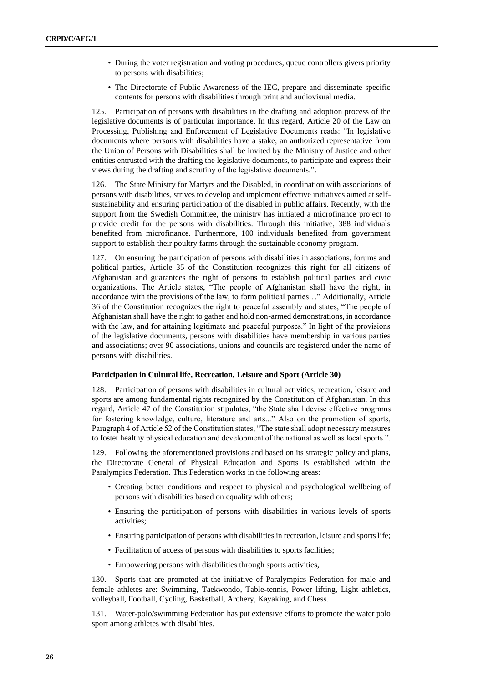- During the voter registration and voting procedures, queue controllers givers priority to persons with disabilities;
- The Directorate of Public Awareness of the IEC, prepare and disseminate specific contents for persons with disabilities through print and audiovisual media.

125. Participation of persons with disabilities in the drafting and adoption process of the legislative documents is of particular importance. In this regard, Article 20 of the Law on Processing, Publishing and Enforcement of Legislative Documents reads: "In legislative documents where persons with disabilities have a stake, an authorized representative from the Union of Persons with Disabilities shall be invited by the Ministry of Justice and other entities entrusted with the drafting the legislative documents, to participate and express their views during the drafting and scrutiny of the legislative documents.".

126. The State Ministry for Martyrs and the Disabled, in coordination with associations of persons with disabilities, strives to develop and implement effective initiatives aimed at selfsustainability and ensuring participation of the disabled in public affairs. Recently, with the support from the Swedish Committee, the ministry has initiated a microfinance project to provide credit for the persons with disabilities. Through this initiative, 388 individuals benefited from microfinance. Furthermore, 100 individuals benefited from government support to establish their poultry farms through the sustainable economy program.

127. On ensuring the participation of persons with disabilities in associations, forums and political parties, Article 35 of the Constitution recognizes this right for all citizens of Afghanistan and guarantees the right of persons to establish political parties and civic organizations. The Article states, "The people of Afghanistan shall have the right, in accordance with the provisions of the law, to form political parties…" Additionally, Article 36 of the Constitution recognizes the right to peaceful assembly and states, "The people of Afghanistan shall have the right to gather and hold non-armed demonstrations, in accordance with the law, and for attaining legitimate and peaceful purposes." In light of the provisions of the legislative documents, persons with disabilities have membership in various parties and associations; over 90 associations, unions and councils are registered under the name of persons with disabilities.

#### **Participation in Cultural life, Recreation, Leisure and Sport (Article 30)**

128. Participation of persons with disabilities in cultural activities, recreation, leisure and sports are among fundamental rights recognized by the Constitution of Afghanistan. In this regard, Article 47 of the Constitution stipulates, "the State shall devise effective programs for fostering knowledge, culture, literature and arts..." Also on the promotion of sports, Paragraph 4 of Article 52 of the Constitution states, "The state shall adopt necessary measures to foster healthy physical education and development of the national as well as local sports.".

129. Following the aforementioned provisions and based on its strategic policy and plans, the Directorate General of Physical Education and Sports is established within the Paralympics Federation. This Federation works in the following areas:

- Creating better conditions and respect to physical and psychological wellbeing of persons with disabilities based on equality with others;
- Ensuring the participation of persons with disabilities in various levels of sports activities;
- Ensuring participation of persons with disabilities in recreation, leisure and sports life;
- Facilitation of access of persons with disabilities to sports facilities;
- Empowering persons with disabilities through sports activities,

130. Sports that are promoted at the initiative of Paralympics Federation for male and female athletes are: Swimming, Taekwondo, Table-tennis, Power lifting, Light athletics, volleyball, Football, Cycling, Basketball, Archery, Kayaking, and Chess.

131. Water-polo/swimming Federation has put extensive efforts to promote the water polo sport among athletes with disabilities.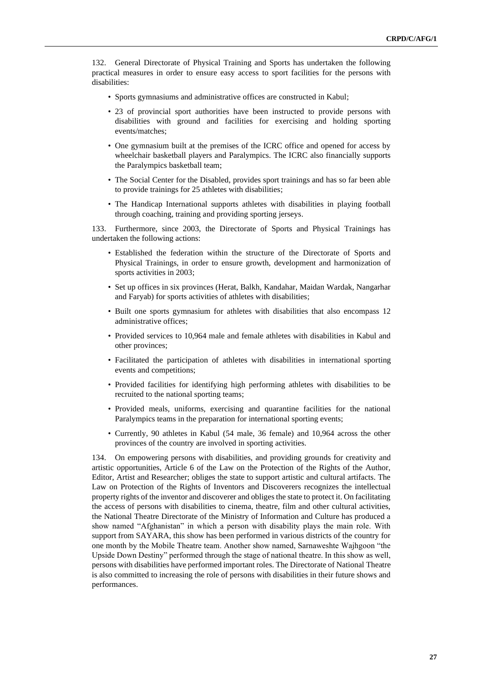132. General Directorate of Physical Training and Sports has undertaken the following practical measures in order to ensure easy access to sport facilities for the persons with disabilities:

- Sports gymnasiums and administrative offices are constructed in Kabul;
- 23 of provincial sport authorities have been instructed to provide persons with disabilities with ground and facilities for exercising and holding sporting events/matches;
- One gymnasium built at the premises of the ICRC office and opened for access by wheelchair basketball players and Paralympics. The ICRC also financially supports the Paralympics basketball team;
- The Social Center for the Disabled, provides sport trainings and has so far been able to provide trainings for 25 athletes with disabilities;
- The Handicap International supports athletes with disabilities in playing football through coaching, training and providing sporting jerseys.

133. Furthermore, since 2003, the Directorate of Sports and Physical Trainings has undertaken the following actions:

- Established the federation within the structure of the Directorate of Sports and Physical Trainings, in order to ensure growth, development and harmonization of sports activities in 2003;
- Set up offices in six provinces (Herat, Balkh, Kandahar, Maidan Wardak, Nangarhar and Faryab) for sports activities of athletes with disabilities;
- Built one sports gymnasium for athletes with disabilities that also encompass 12 administrative offices;
- Provided services to 10,964 male and female athletes with disabilities in Kabul and other provinces;
- Facilitated the participation of athletes with disabilities in international sporting events and competitions;
- Provided facilities for identifying high performing athletes with disabilities to be recruited to the national sporting teams;
- Provided meals, uniforms, exercising and quarantine facilities for the national Paralympics teams in the preparation for international sporting events;
- Currently, 90 athletes in Kabul (54 male, 36 female) and 10,964 across the other provinces of the country are involved in sporting activities.

134. On empowering persons with disabilities, and providing grounds for creativity and artistic opportunities, Article 6 of the Law on the Protection of the Rights of the Author, Editor, Artist and Researcher; obliges the state to support artistic and cultural artifacts. The Law on Protection of the Rights of Inventors and Discoverers recognizes the intellectual property rights of the inventor and discoverer and obliges the state to protect it. On facilitating the access of persons with disabilities to cinema, theatre, film and other cultural activities, the National Theatre Directorate of the Ministry of Information and Culture has produced a show named "Afghanistan" in which a person with disability plays the main role. With support from SAYARA, this show has been performed in various districts of the country for one month by the Mobile Theatre team. Another show named, Sarnaweshte Wajhgoon "the Upside Down Destiny" performed through the stage of national theatre. In this show as well, persons with disabilities have performed important roles. The Directorate of National Theatre is also committed to increasing the role of persons with disabilities in their future shows and performances.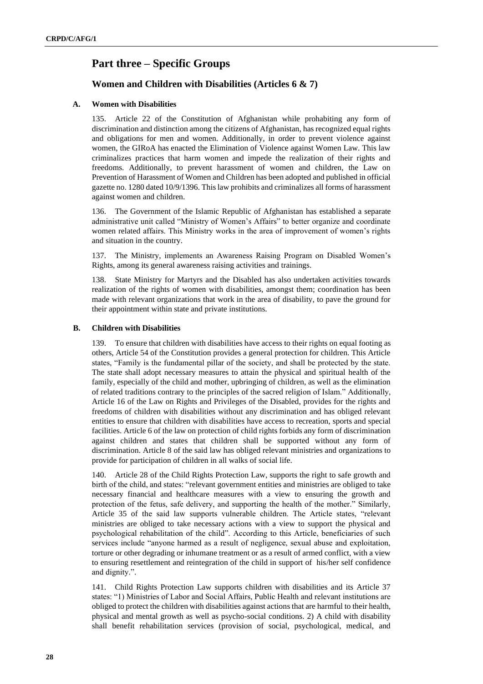## <span id="page-27-0"></span>**Part three – Specific Groups**

## **Women and Children with Disabilities (Articles 6 & 7)**

### **A. Women with Disabilities**

135. Article 22 of the Constitution of Afghanistan while prohabiting any form of discrimination and distinction among the citizens of Afghanistan, has recognized equal rights and obligations for men and women. Additionally, in order to prevent violence against women, the GIRoA has enacted the Elimination of Violence against Women Law. This law criminalizes practices that harm women and impede the realization of their rights and freedoms. Additionally, to prevent harassment of women and children, the Law on Prevention of Harassment of Women and Children has been adopted and published in official gazette no. 1280 dated 10/9/1396. This law prohibits and criminalizes all forms of harassment against women and children.

136. The Government of the Islamic Republic of Afghanistan has established a separate administrative unit called "Ministry of Women's Affairs" to better organize and coordinate women related affairs. This Ministry works in the area of improvement of women's rights and situation in the country.

137. The Ministry, implements an Awareness Raising Program on Disabled Women's Rights, among its general awareness raising activities and trainings.

138. State Ministry for Martyrs and the Disabled has also undertaken activities towards realization of the rights of women with disabilities, amongst them; coordination has been made with relevant organizations that work in the area of disability, to pave the ground for their appointment within state and private institutions.

#### **B. Children with Disabilities**

139. To ensure that children with disabilities have access to their rights on equal footing as others, Article 54 of the Constitution provides a general protection for children. This Article states, "Family is the fundamental pillar of the society, and shall be protected by the state. The state shall adopt necessary measures to attain the physical and spiritual health of the family, especially of the child and mother, upbringing of children, as well as the elimination of related traditions contrary to the principles of the sacred religion of Islam." Additionally, Article 16 of the Law on Rights and Privileges of the Disabled, provides for the rights and freedoms of children with disabilities without any discrimination and has obliged relevant entities to ensure that children with disabilities have access to recreation, sports and special facilities. Article 6 of the law on protection of child rights forbids any form of discrimination against children and states that children shall be supported without any form of discrimination. Article 8 of the said law has obliged relevant ministries and organizations to provide for participation of children in all walks of social life.

140. Article 28 of the Child Rights Protection Law, supports the right to safe growth and birth of the child, and states: "relevant government entities and ministries are obliged to take necessary financial and healthcare measures with a view to ensuring the growth and protection of the fetus, safe delivery, and supporting the health of the mother." Similarly, Article 35 of the said law supports vulnerable children. The Article states, "relevant ministries are obliged to take necessary actions with a view to support the physical and psychological rehabilitation of the child". According to this Article, beneficiaries of such services include "anyone harmed as a result of negligence, sexual abuse and exploitation, torture or other degrading or inhumane treatment or as a result of armed conflict, with a view to ensuring resettlement and reintegration of the child in support of his/her self confidence and dignity.".

141. Child Rights Protection Law supports children with disabilities and its Article 37 states: "1) Ministries of Labor and Social Affairs, Public Health and relevant institutions are obliged to protect the children with disabilities against actions that are harmful to their health, physical and mental growth as well as psycho-social conditions. 2) A child with disability shall benefit rehabilitation services (provision of social, psychological, medical, and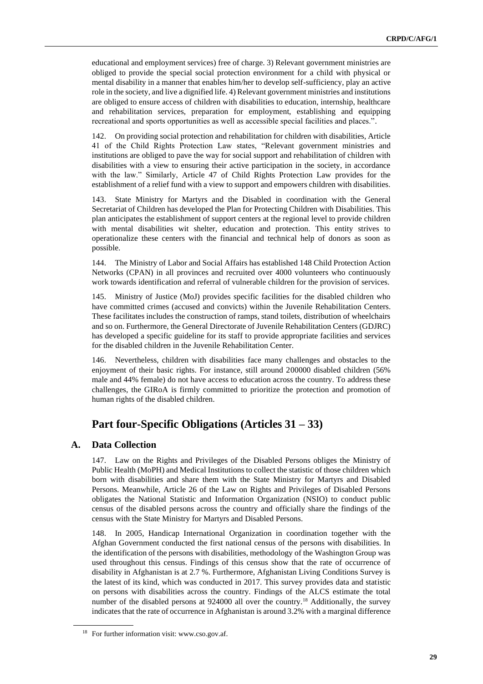educational and employment services) free of charge. 3) Relevant government ministries are obliged to provide the special social protection environment for a child with physical or mental disability in a manner that enables him/her to develop self-sufficiency, play an active role in the society, and live a dignified life. 4) Relevant government ministries and institutions are obliged to ensure access of children with disabilities to education, internship, healthcare and rehabilitation services, preparation for employment, establishing and equipping recreational and sports opportunities as well as accessible special facilities and places.".

142. On providing social protection and rehabilitation for children with disabilities, Article 41 of the Child Rights Protection Law states, "Relevant government ministries and institutions are obliged to pave the way for social support and rehabilitation of children with disabilities with a view to ensuring their active participation in the society, in accordance with the law." Similarly, Article 47 of Child Rights Protection Law provides for the establishment of a relief fund with a view to support and empowers children with disabilities.

143. State Ministry for Martyrs and the Disabled in coordination with the General Secretariat of Children has developed the Plan for Protecting Children with Disabilities. This plan anticipates the establishment of support centers at the regional level to provide children with mental disabilities wit shelter, education and protection. This entity strives to operationalize these centers with the financial and technical help of donors as soon as possible.

144. The Ministry of Labor and Social Affairs has established 148 Child Protection Action Networks (CPAN) in all provinces and recruited over 4000 volunteers who continuously work towards identification and referral of vulnerable children for the provision of services.

145. Ministry of Justice (MoJ) provides specific facilities for the disabled children who have committed crimes (accused and convicts) within the Juvenile Rehabilitation Centers. These facilitates includes the construction of ramps, stand toilets, distribution of wheelchairs and so on. Furthermore, the General Directorate of Juvenile Rehabilitation Centers (GDJRC) has developed a specific guideline for its staff to provide appropriate facilities and services for the disabled children in the Juvenile Rehabilitation Center.

146. Nevertheless, children with disabilities face many challenges and obstacles to the enjoyment of their basic rights. For instance, still around 200000 disabled children (56% male and 44% female) do not have access to education across the country. To address these challenges, the GIRoA is firmly committed to prioritize the protection and promotion of human rights of the disabled children.

## <span id="page-28-0"></span>**Part four-Specific Obligations (Articles 31 – 33)**

### **A. Data Collection**

147. Law on the Rights and Privileges of the Disabled Persons obliges the Ministry of Public Health (MoPH) and Medical Institutions to collect the statistic of those children which born with disabilities and share them with the State Ministry for Martyrs and Disabled Persons. Meanwhile, Article 26 of the Law on Rights and Privileges of Disabled Persons obligates the National Statistic and Information Organization (NSIO) to conduct public census of the disabled persons across the country and officially share the findings of the census with the State Ministry for Martyrs and Disabled Persons.

148. In 2005, Handicap International Organization in coordination together with the Afghan Government conducted the first national census of the persons with disabilities. In the identification of the persons with disabilities, methodology of the Washington Group was used throughout this census. Findings of this census show that the rate of occurrence of disability in Afghanistan is at 2.7 %. Furthermore, Afghanistan Living Conditions Survey is the latest of its kind, which was conducted in 2017. This survey provides data and statistic on persons with disabilities across the country. Findings of the ALCS estimate the total number of the disabled persons at 924000 all over the country.<sup>18</sup> Additionally, the survey indicates that the rate of occurrence in Afghanistan is around 3.2% with a marginal difference

<sup>18</sup> For further information visit: www.cso.gov.af.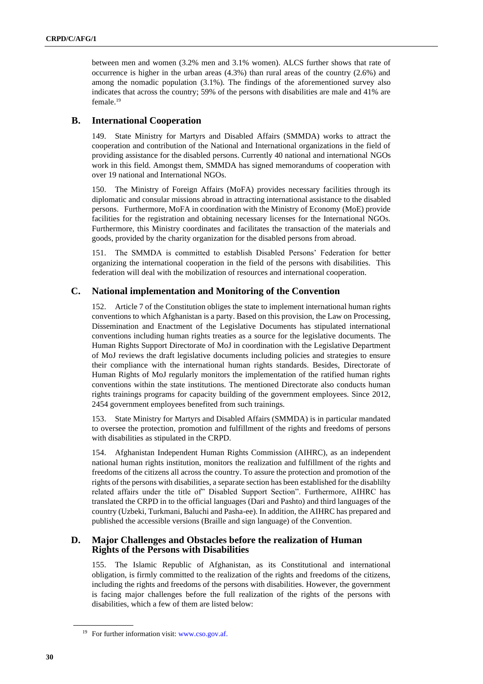between men and women (3.2% men and 3.1% women). ALCS further shows that rate of occurrence is higher in the urban areas (4.3%) than rural areas of the country (2.6%) and among the nomadic population (3.1%). The findings of the aforementioned survey also indicates that across the country; 59% of the persons with disabilities are male and 41% are female.<sup>19</sup>

### **B. International Cooperation**

149. State Ministry for Martyrs and Disabled Affairs (SMMDA) works to attract the cooperation and contribution of the National and International organizations in the field of providing assistance for the disabled persons. Currently 40 national and international NGOs work in this field. Amongst them, SMMDA has signed memorandums of cooperation with over 19 national and International NGOs.

150. The Ministry of Foreign Affairs (MoFA) provides necessary facilities through its diplomatic and consular missions abroad in attracting international assistance to the disabled persons. Furthermore, MoFA in coordination with the Ministry of Economy (MoE) provide facilities for the registration and obtaining necessary licenses for the International NGOs. Furthermore, this Ministry coordinates and facilitates the transaction of the materials and goods, provided by the charity organization for the disabled persons from abroad.

The SMMDA is committed to establish Disabled Persons' Federation for better organizing the international cooperation in the field of the persons with disabilities. This federation will deal with the mobilization of resources and international cooperation.

### **C. National implementation and Monitoring of the Convention**

152. Article 7 of the Constitution obliges the state to implement international human rights conventions to which Afghanistan is a party. Based on this provision, the Law on Processing, Dissemination and Enactment of the Legislative Documents has stipulated international conventions including human rights treaties as a source for the legislative documents. The Human Rights Support Directorate of MoJ in coordination with the Legislative Department of MoJ reviews the draft legislative documents including policies and strategies to ensure their compliance with the international human rights standards. Besides, Directorate of Human Rights of MoJ regularly monitors the implementation of the ratified human rights conventions within the state institutions. The mentioned Directorate also conducts human rights trainings programs for capacity building of the government employees. Since 2012, 2454 government employees benefited from such trainings.

153. State Ministry for Martyrs and Disabled Affairs (SMMDA) is in particular mandated to oversee the protection, promotion and fulfillment of the rights and freedoms of persons with disabilities as stipulated in the CRPD.

154. Afghanistan Independent Human Rights Commission (AIHRC), as an independent national human rights institution, monitors the realization and fulfillment of the rights and freedoms of the citizens all across the country. To assure the protection and promotion of the rights of the persons with disabilities, a separate section has been established for the disablilty related affairs under the title of" Disabled Support Section". Furthermore, AIHRC has translated the CRPD in to the official languages (Dari and Pashto) and third languages of the country (Uzbeki, Turkmani, Baluchi and Pasha-ee). In addition, the AIHRC has prepared and published the accessible versions (Braille and sign language) of the Convention.

### **D. Major Challenges and Obstacles before the realization of Human Rights of the Persons with Disabilities**

155. The Islamic Republic of Afghanistan, as its Constitutional and international obligation, is firmly committed to the realization of the rights and freedoms of the citizens, including the rights and freedoms of the persons with disabilities. However, the government is facing major challenges before the full realization of the rights of the persons with disabilities, which a few of them are listed below:

<sup>19</sup> For further information visit: [www.cso.gov.af.](http://www.cso.gov.af/)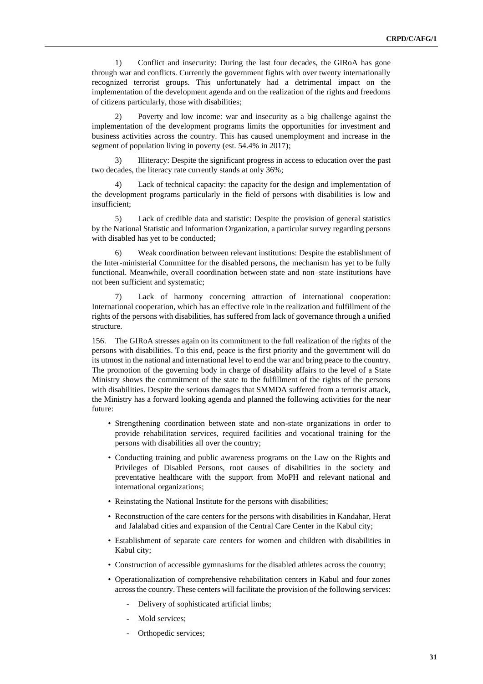1) Conflict and insecurity: During the last four decades, the GIRoA has gone through war and conflicts. Currently the government fights with over twenty internationally recognized terrorist groups. This unfortunately had a detrimental impact on the implementation of the development agenda and on the realization of the rights and freedoms of citizens particularly, those with disabilities;

2) Poverty and low income: war and insecurity as a big challenge against the implementation of the development programs limits the opportunities for investment and business activities across the country. This has caused unemployment and increase in the segment of population living in poverty (est. 54.4% in 2017);

3) Illiteracy: Despite the significant progress in access to education over the past two decades, the literacy rate currently stands at only 36%;

4) Lack of technical capacity: the capacity for the design and implementation of the development programs particularly in the field of persons with disabilities is low and insufficient;

5) Lack of credible data and statistic: Despite the provision of general statistics by the National Statistic and Information Organization, a particular survey regarding persons with disabled has yet to be conducted;

Weak coordination between relevant institutions: Despite the establishment of the Inter-ministerial Committee for the disabled persons, the mechanism has yet to be fully functional. Meanwhile, overall coordination between state and non–state institutions have not been sufficient and systematic;

7) Lack of harmony concerning attraction of international cooperation: International cooperation, which has an effective role in the realization and fulfillment of the rights of the persons with disabilities, has suffered from lack of governance through a unified structure.

156. The GIRoA stresses again on its commitment to the full realization of the rights of the persons with disabilities. To this end, peace is the first priority and the government will do its utmost in the national and international level to end the war and bring peace to the country. The promotion of the governing body in charge of disability affairs to the level of a State Ministry shows the commitment of the state to the fulfillment of the rights of the persons with disabilities. Despite the serious damages that SMMDA suffered from a terrorist attack, the Ministry has a forward looking agenda and planned the following activities for the near future:

- Strengthening coordination between state and non-state organizations in order to provide rehabilitation services, required facilities and vocational training for the persons with disabilities all over the country;
- Conducting training and public awareness programs on the Law on the Rights and Privileges of Disabled Persons, root causes of disabilities in the society and preventative healthcare with the support from MoPH and relevant national and international organizations;
- Reinstating the National Institute for the persons with disabilities;
- Reconstruction of the care centers for the persons with disabilities in Kandahar, Herat and Jalalabad cities and expansion of the Central Care Center in the Kabul city;
- Establishment of separate care centers for women and children with disabilities in Kabul city;
- Construction of accessible gymnasiums for the disabled athletes across the country;
- Operationalization of comprehensive rehabilitation centers in Kabul and four zones across the country. These centers will facilitate the provision of the following services:
	- ‐ Delivery of sophisticated artificial limbs;
	- Mold services:
	- Orthopedic services;